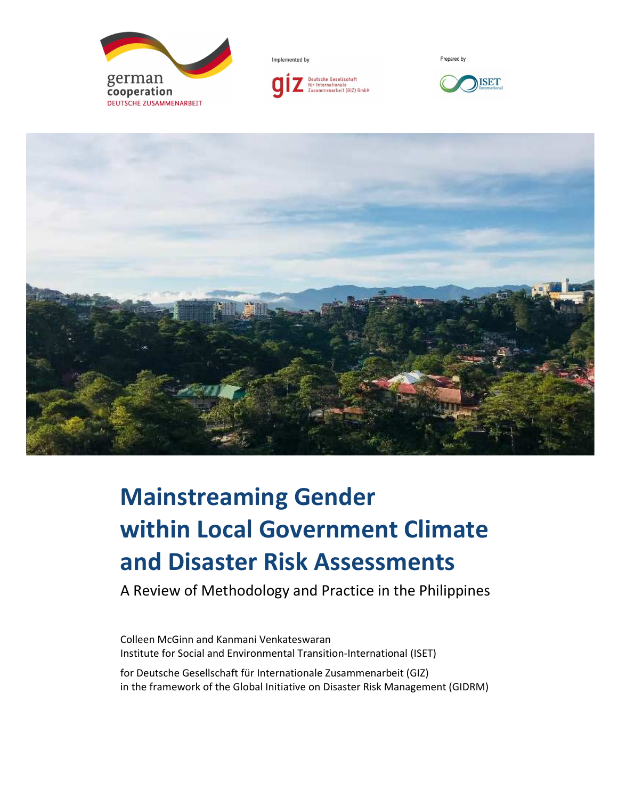

Implemented by



Prepared by





# **Mainstreaming Gender within Local Government Climate and Disaster Risk Assessments**

A Review of Methodology and Practice in the Philippines

Colleen McGinn and Kanmani Venkateswaran Institute for Social and Environmental Transition-International (ISET)

for Deutsche Gesellschaft für Internationale Zusammenarbeit (GIZ) in the framework of the Global Initiative on Disaster Risk Management (GIDRM)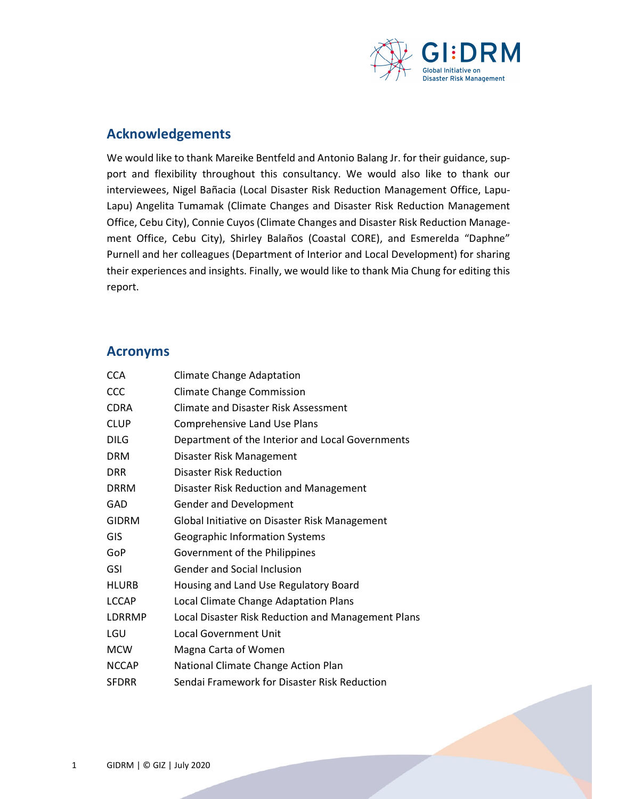

#### **Acknowledgements**

We would like to thank Mareike Bentfeld and Antonio Balang Jr. for their guidance, support and flexibility throughout this consultancy. We would also like to thank our interviewees, Nigel Bañacia (Local Disaster Risk Reduction Management Office, Lapu-Lapu) Angelita Tumamak (Climate Changes and Disaster Risk Reduction Management Office, Cebu City), Connie Cuyos (Climate Changes and Disaster Risk Reduction Management Office, Cebu City), Shirley Balaños (Coastal CORE), and Esmerelda "Daphne" Purnell and her colleagues (Department of Interior and Local Development) for sharing their experiences and insights. Finally, we would like to thank Mia Chung for editing this report.

#### **Acronyms**

| <b>CCA</b>   | <b>Climate Change Adaptation</b>                   |
|--------------|----------------------------------------------------|
| CCC          | <b>Climate Change Commission</b>                   |
| <b>CDRA</b>  | Climate and Disaster Risk Assessment               |
| <b>CLUP</b>  | Comprehensive Land Use Plans                       |
| <b>DILG</b>  | Department of the Interior and Local Governments   |
| <b>DRM</b>   | Disaster Risk Management                           |
| <b>DRR</b>   | Disaster Risk Reduction                            |
| <b>DRRM</b>  | Disaster Risk Reduction and Management             |
| GAD          | <b>Gender and Development</b>                      |
| <b>GIDRM</b> | Global Initiative on Disaster Risk Management      |
| GIS          | <b>Geographic Information Systems</b>              |
| GoP          | Government of the Philippines                      |
| GSI          | <b>Gender and Social Inclusion</b>                 |
| <b>HLURB</b> | Housing and Land Use Regulatory Board              |
| <b>LCCAP</b> | Local Climate Change Adaptation Plans              |
| LDRRMP       | Local Disaster Risk Reduction and Management Plans |
| LGU          | <b>Local Government Unit</b>                       |
| <b>MCW</b>   | Magna Carta of Women                               |
| <b>NCCAP</b> | National Climate Change Action Plan                |
| <b>SFDRR</b> | Sendai Framework for Disaster Risk Reduction       |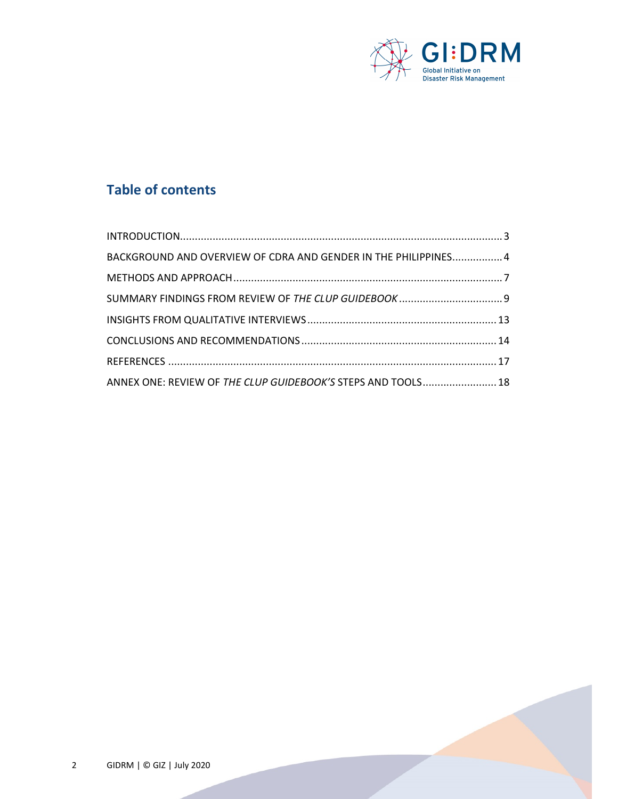

## **Table of contents**

| BACKGROUND AND OVERVIEW OF CDRA AND GENDER IN THE PHILIPPINES 4 |  |
|-----------------------------------------------------------------|--|
|                                                                 |  |
|                                                                 |  |
|                                                                 |  |
|                                                                 |  |
|                                                                 |  |
| ANNEX ONE: REVIEW OF THE CLUP GUIDEBOOK'S STEPS AND TOOLS 18    |  |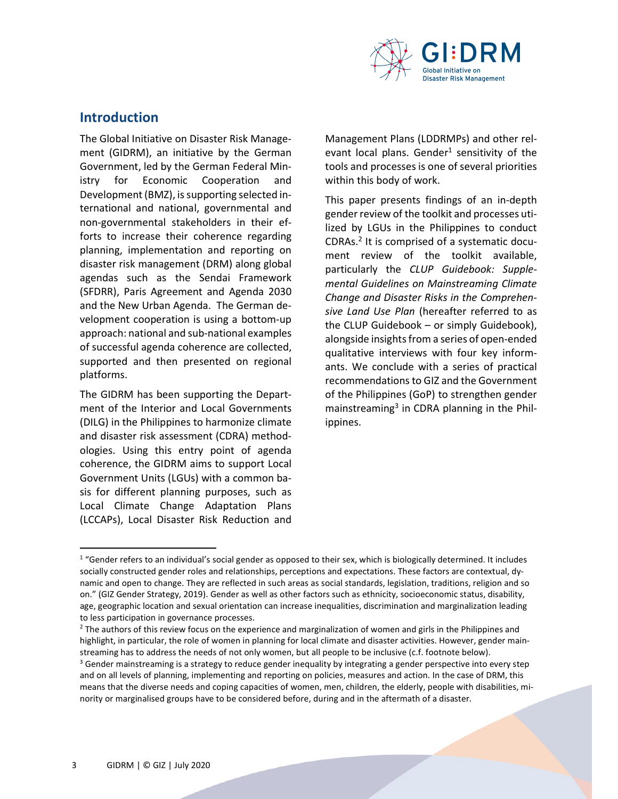

### **Introduction**

The Global Initiative on Disaster Risk Management (GIDRM), an initiative by the German Government, led by the German Federal Ministry for Economic Cooperation and Development (BMZ), is supporting selected international and national, governmental and non-governmental stakeholders in their efforts to increase their coherence regarding planning, implementation and reporting on disaster risk management (DRM) along global agendas such as the Sendai Framework (SFDRR), Paris Agreement and Agenda 2030 and the New Urban Agenda. The German development cooperation is using a bottom-up approach: national and sub-national examples of successful agenda coherence are collected, supported and then presented on regional platforms.

The GIDRM has been supporting the Department of the Interior and Local Governments (DILG) in the Philippines to harmonize climate and disaster risk assessment (CDRA) methodologies. Using this entry point of agenda coherence, the GIDRM aims to support Local Government Units (LGUs) with a common basis for different planning purposes, such as Local Climate Change Adaptation Plans (LCCAPs), Local Disaster Risk Reduction and

Management Plans (LDDRMPs) and other relevant local plans. Gender<sup>1</sup> sensitivity of the tools and processes is one of several priorities within this body of work.

This paper presents findings of an in-depth gender review of the toolkit and processes utilized by LGUs in the Philippines to conduct CDRAs.<sup>2</sup> It is comprised of a systematic document review of the toolkit available, particularly the *CLUP Guidebook: Supplemental Guidelines on Mainstreaming Climate Change and Disaster Risks in the Comprehensive Land Use Plan* (hereafter referred to as the CLUP Guidebook – or simply Guidebook), alongside insights from a series of open-ended qualitative interviews with four key informants. We conclude with a series of practical recommendations to GIZ and the Government of the Philippines (GoP) to strengthen gender mainstreaming<sup>3</sup> in CDRA planning in the Philippines.

l

<sup>&</sup>lt;sup>1</sup> "Gender refers to an individual's social gender as opposed to their sex, which is biologically determined. It includes socially constructed gender roles and relationships, perceptions and expectations. These factors are contextual, dynamic and open to change. They are reflected in such areas as social standards, legislation, traditions, religion and so on." (GIZ Gender Strategy, 2019). Gender as well as other factors such as ethnicity, socioeconomic status, disability, age, geographic location and sexual orientation can increase inequalities, discrimination and marginalization leading to less participation in governance processes.

<sup>&</sup>lt;sup>2</sup> The authors of this review focus on the experience and marginalization of women and girls in the Philippines and highlight, in particular, the role of women in planning for local climate and disaster activities. However, gender mainstreaming has to address the needs of not only women, but all people to be inclusive (c.f. footnote below).

 $3$  Gender mainstreaming is a strategy to reduce gender inequality by integrating a gender perspective into every step and on all levels of planning, implementing and reporting on policies, measures and action. In the case of DRM, this means that the diverse needs and coping capacities of women, men, children, the elderly, people with disabilities, minority or marginalised groups have to be considered before, during and in the aftermath of a disaster.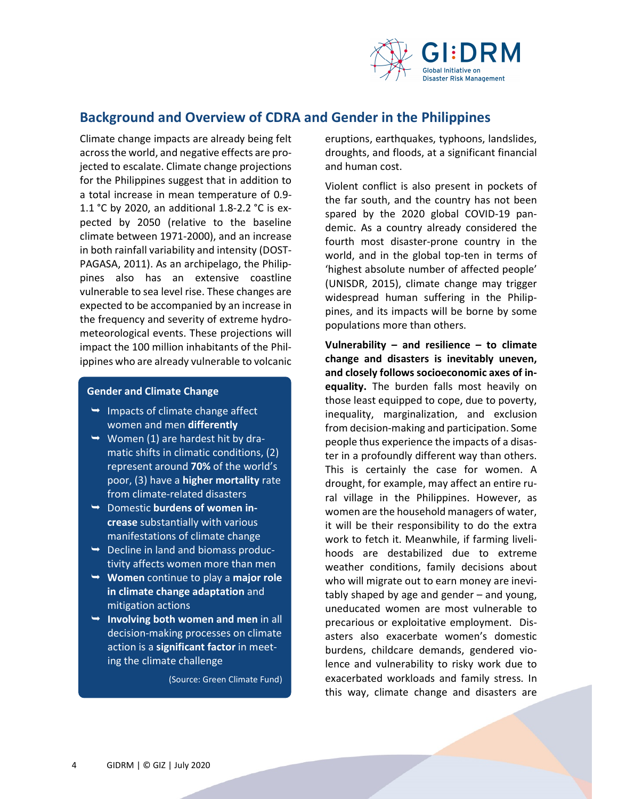

## **Background and Overview of CDRA and Gender in the Philippines**

Climate change impacts are already being felt across the world, and negative effects are projected to escalate. Climate change projections for the Philippines suggest that in addition to a total increase in mean temperature of 0.9- 1.1 °C by 2020, an additional 1.8-2.2 °C is expected by 2050 (relative to the baseline climate between 1971-2000), and an increase in both rainfall variability and intensity (DOST-PAGASA, 2011). As an archipelago, the Philippines also has an extensive coastline vulnerable to sea level rise. These changes are expected to be accompanied by an increase in the frequency and severity of extreme hydrometeorological events. These projections will impact the 100 million inhabitants of the Philippines who are already vulnerable to volcanic

#### **Gender and Climate Change**

- $\rightarrow$  Impacts of climate change affect women and men **differently**
- $\rightarrow$  Women (1) are hardest hit by dramatic shifts in climatic conditions, (2) represent around **70%** of the world's poor, (3) have a **higher mortality** rate from climate-related disasters
- Domestic **burdens of women increase** substantially with various manifestations of climate change
- $\rightarrow$  Decline in land and biomass productivity affects women more than men
- **Women** continue to play a **major role in climate change adaptation** and mitigation actions
- **Involving both women and men** in all decision-making processes on climate action is a **significant factor** in meeting the climate challenge

(Source: Green Climate Fund)

eruptions, earthquakes, typhoons, landslides, droughts, and floods, at a significant financial and human cost.

Violent conflict is also present in pockets of the far south, and the country has not been spared by the 2020 global COVID-19 pandemic. As a country already considered the fourth most disaster-prone country in the world, and in the global top-ten in terms of 'highest absolute number of affected people' (UNISDR, 2015), climate change may trigger widespread human suffering in the Philippines, and its impacts will be borne by some populations more than others.

**Vulnerability – and resilience – to climate change and disasters is inevitably uneven, and closely follows socioeconomic axes of inequality.** The burden falls most heavily on those least equipped to cope, due to poverty, inequality, marginalization, and exclusion from decision-making and participation. Some people thus experience the impacts of a disaster in a profoundly different way than others. This is certainly the case for women. A drought, for example, may affect an entire rural village in the Philippines. However, as women are the household managers of water, it will be their responsibility to do the extra work to fetch it. Meanwhile, if farming livelihoods are destabilized due to extreme weather conditions, family decisions about who will migrate out to earn money are inevitably shaped by age and gender – and young, uneducated women are most vulnerable to precarious or exploitative employment. Disasters also exacerbate women's domestic burdens, childcare demands, gendered violence and vulnerability to risky work due to exacerbated workloads and family stress. In this way, climate change and disasters are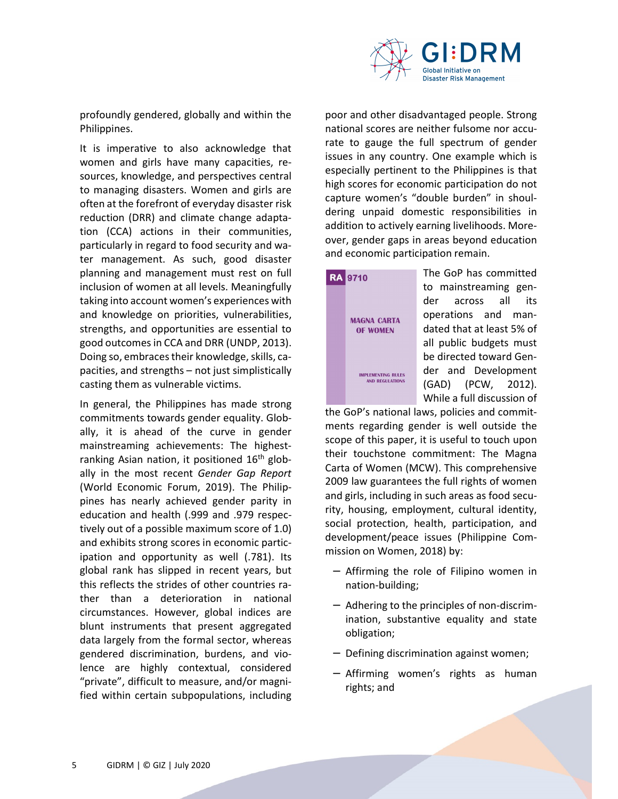

profoundly gendered, globally and within the Philippines.

It is imperative to also acknowledge that women and girls have many capacities, resources, knowledge, and perspectives central to managing disasters. Women and girls are often at the forefront of everyday disaster risk reduction (DRR) and climate change adaptation (CCA) actions in their communities, particularly in regard to food security and water management. As such, good disaster planning and management must rest on full inclusion of women at all levels. Meaningfully taking into account women's experiences with and knowledge on priorities, vulnerabilities, strengths, and opportunities are essential to good outcomes in CCA and DRR (UNDP, 2013). Doing so, embraces their knowledge, skills, capacities, and strengths – not just simplistically casting them as vulnerable victims.

In general, the Philippines has made strong commitments towards gender equality. Globally, it is ahead of the curve in gender mainstreaming achievements: The highestranking Asian nation, it positioned  $16<sup>th</sup>$  globally in the most recent *Gender Gap Report* (World Economic Forum, 2019). The Philippines has nearly achieved gender parity in education and health (.999 and .979 respectively out of a possible maximum score of 1.0) and exhibits strong scores in economic participation and opportunity as well (.781). Its global rank has slipped in recent years, but this reflects the strides of other countries rather than a deterioration in national circumstances. However, global indices are blunt instruments that present aggregated data largely from the formal sector, whereas gendered discrimination, burdens, and violence are highly contextual, considered "private", difficult to measure, and/or magnified within certain subpopulations, including

poor and other disadvantaged people. Strong national scores are neither fulsome nor accurate to gauge the full spectrum of gender issues in any country. One example which is especially pertinent to the Philippines is that high scores for economic participation do not capture women's "double burden" in shouldering unpaid domestic responsibilities in addition to actively earning livelihoods. Moreover, gender gaps in areas beyond education and economic participation remain.



The GoP has committed to mainstreaming gender across all its operations and mandated that at least 5% of all public budgets must be directed toward Gender and Development (GAD) (PCW, 2012). While a full discussion of

the GoP's national laws, policies and commitments regarding gender is well outside the scope of this paper, it is useful to touch upon their touchstone commitment: The Magna Carta of Women (MCW). This comprehensive 2009 law guarantees the full rights of women and girls, including in such areas as food security, housing, employment, cultural identity, social protection, health, participation, and development/peace issues (Philippine Commission on Women, 2018) by:

- − Affirming the role of Filipino women in nation-building;
- − Adhering to the principles of non-discrimination, substantive equality and state obligation;
- − Defining discrimination against women;
- − Affirming women's rights as human rights; and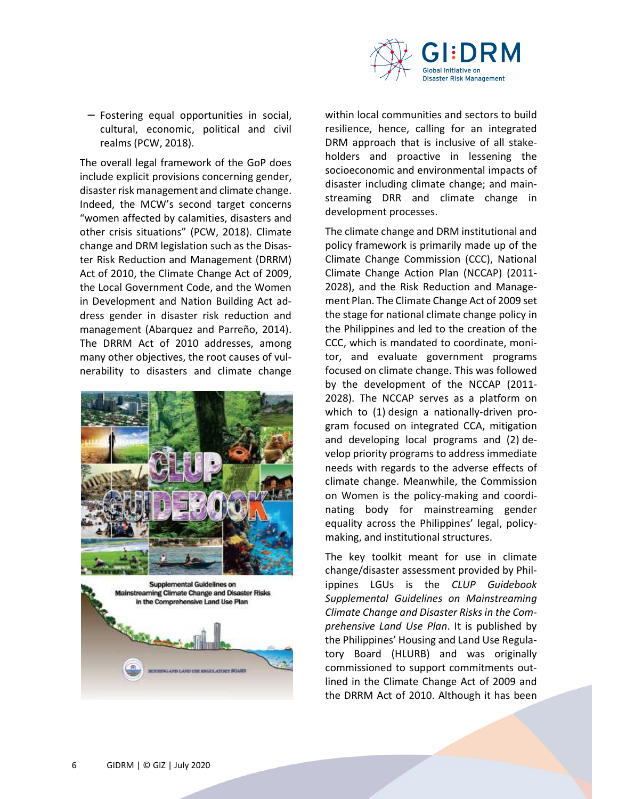

− Fostering equal opportunities in social, cultural, economic, political and civil realms (PCW, 2018).

The overall legal framework of the GoP does include explicit provisions concerning gender, disaster risk management and climate change. Indeed, the MCW's second target concerns "women affected by calamities, disasters and other crisis situations" (PCW, 2018). Climate change and DRM legislation such as the Disaster Risk Reduction and Management (DRRM) Act of 2010, the Climate Change Act of 2009, the Local Government Code, and the Women in Development and Nation Building Act address gender in disaster risk reduction and management (Abarquez and Parreño, 2014). The DRRM Act of 2010 addresses, among many other objectives, the root causes of vulnerability to disasters and climate change





within local communities and sectors to build resilience, hence, calling for an integrated DRM approach that is inclusive of all stakeholders and proactive in lessening the socioeconomic and environmental impacts of disaster including climate change; and mainstreaming DRR and climate change in development processes.

The climate change and DRM institutional and policy framework is primarily made up of the Climate Change Commission (CCC), National Climate Change Action Plan (NCCAP) (2011- 2028), and the Risk Reduction and Management Plan. The Climate Change Act of 2009 set the stage for national climate change policy in the Philippines and led to the creation of the CCC, which is mandated to coordinate, monitor, and evaluate government programs focused on climate change. This was followed by the development of the NCCAP (2011- 2028). The NCCAP serves as a platform on which to (1) design a nationally-driven program focused on integrated CCA, mitigation and developing local programs and (2) develop priority programs to address immediate needs with regards to the adverse effects of climate change. Meanwhile, the Commission on Women is the policy-making and coordinating body for mainstreaming gender equality across the Philippines' legal, policymaking, and institutional structures.

The key toolkit meant for use in climate change/disaster assessment provided by Philippines LGUs is the *CLUP Guidebook Supplemental Guidelines on Mainstreaming Climate Change and Disaster Risks in the Comprehensive Land Use Plan*. It is published by the Philippines' Housing and Land Use Regulatory Board (HLURB) and was originally commissioned to support commitments outlined in the Climate Change Act of 2009 and the DRRM Act of 2010. Although it has been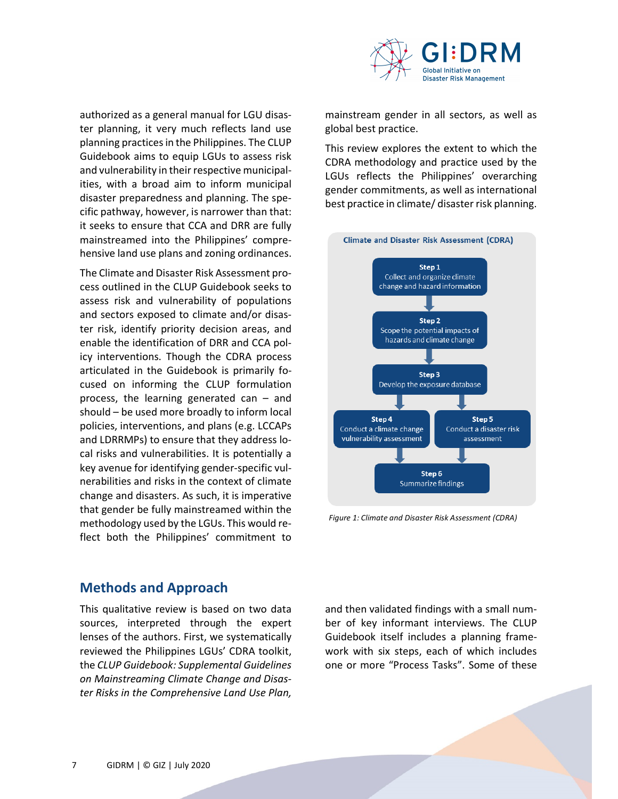

authorized as a general manual for LGU disaster planning, it very much reflects land use planning practices in the Philippines. The CLUP Guidebook aims to equip LGUs to assess risk and vulnerability in their respective municipalities, with a broad aim to inform municipal disaster preparedness and planning. The specific pathway, however, is narrower than that: it seeks to ensure that CCA and DRR are fully mainstreamed into the Philippines' comprehensive land use plans and zoning ordinances.

The Climate and Disaster Risk Assessment process outlined in the CLUP Guidebook seeks to assess risk and vulnerability of populations and sectors exposed to climate and/or disaster risk, identify priority decision areas, and enable the identification of DRR and CCA policy interventions. Though the CDRA process articulated in the Guidebook is primarily focused on informing the CLUP formulation process, the learning generated can – and should – be used more broadly to inform local policies, interventions, and plans (e.g. LCCAPs and LDRRMPs) to ensure that they address local risks and vulnerabilities. It is potentially a key avenue for identifying gender-specific vulnerabilities and risks in the context of climate change and disasters. As such, it is imperative that gender be fully mainstreamed within the methodology used by the LGUs. This would reflect both the Philippines' commitment to

mainstream gender in all sectors, as well as global best practice.

This review explores the extent to which the CDRA methodology and practice used by the LGUs reflects the Philippines' overarching gender commitments, as well as international best practice in climate/ disaster risk planning.



*Figure 1: Climate and Disaster Risk Assessment (CDRA)*

#### **Methods and Approach**

This qualitative review is based on two data sources, interpreted through the expert lenses of the authors. First, we systematically reviewed the Philippines LGUs' CDRA toolkit, the *CLUP Guidebook: Supplemental Guidelines on Mainstreaming Climate Change and Disaster Risks in the Comprehensive Land Use Plan,*

and then validated findings with a small number of key informant interviews. The CLUP Guidebook itself includes a planning framework with six steps, each of which includes one or more "Process Tasks". Some of these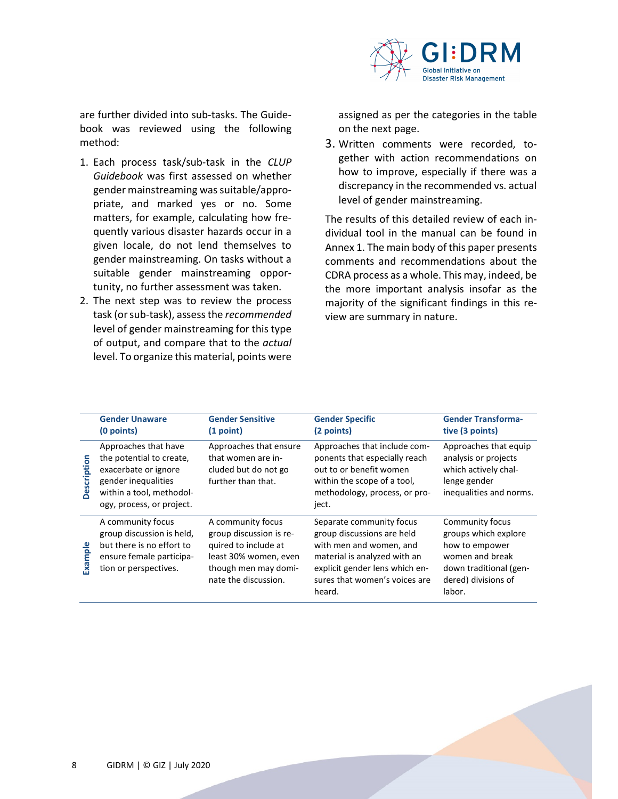

are further divided into sub-tasks. The Guidebook was reviewed using the following method:

- 1. Each process task/sub-task in the *CLUP Guidebook* was first assessed on whether gender mainstreaming was suitable/appropriate, and marked yes or no. Some matters, for example, calculating how frequently various disaster hazards occur in a given locale, do not lend themselves to gender mainstreaming. On tasks without a suitable gender mainstreaming opportunity, no further assessment was taken.
- 2. The next step was to review the process task (or sub-task), assess the *recommended* level of gender mainstreaming for this type of output, and compare that to the *actual* level. To organize this material, points were

assigned as per the categories in the table on the next page.

3. Written comments were recorded, together with action recommendations on how to improve, especially if there was a discrepancy in the recommended vs. actual level of gender mainstreaming.

The results of this detailed review of each individual tool in the manual can be found in Annex 1. The main body of this paper presents comments and recommendations about the CDRA process as a whole. This may, indeed, be the more important analysis insofar as the majority of the significant findings in this review are summary in nature.

|             | <b>Gender Unaware</b><br>(0 points)                                                                                                                      | <b>Gender Sensitive</b><br>(1 point)                                                                                                          | <b>Gender Specific</b><br>(2 points)                                                                                                                                                           | <b>Gender Transforma-</b><br>tive (3 points)                                                                                            |
|-------------|----------------------------------------------------------------------------------------------------------------------------------------------------------|-----------------------------------------------------------------------------------------------------------------------------------------------|------------------------------------------------------------------------------------------------------------------------------------------------------------------------------------------------|-----------------------------------------------------------------------------------------------------------------------------------------|
| Description | Approaches that have<br>the potential to create,<br>exacerbate or ignore<br>gender inequalities<br>within a tool, methodol-<br>ogy, process, or project. | Approaches that ensure<br>that women are in-<br>cluded but do not go<br>further than that.                                                    | Approaches that include com-<br>ponents that especially reach<br>out to or benefit women<br>within the scope of a tool,<br>methodology, process, or pro-<br>ject.                              | Approaches that equip<br>analysis or projects<br>which actively chal-<br>lenge gender<br>inequalities and norms.                        |
| Example     | A community focus<br>group discussion is held,<br>but there is no effort to<br>ensure female participa-<br>tion or perspectives.                         | A community focus<br>group discussion is re-<br>quired to include at<br>least 30% women, even<br>though men may domi-<br>nate the discussion. | Separate community focus<br>group discussions are held<br>with men and women, and<br>material is analyzed with an<br>explicit gender lens which en-<br>sures that women's voices are<br>heard. | Community focus<br>groups which explore<br>how to empower<br>women and break<br>down traditional (gen-<br>dered) divisions of<br>labor. |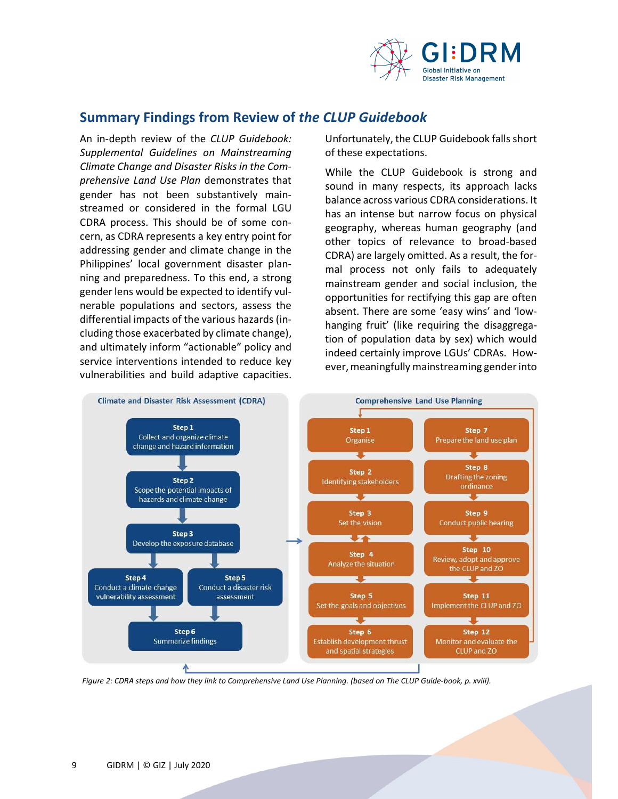

## **Summary Findings from Review of** *the CLUP Guidebook*

An in-depth review of the *CLUP Guidebook: Supplemental Guidelines on Mainstreaming Climate Change and Disaster Risks in the Comprehensive Land Use Plan* demonstrates that gender has not been substantively mainstreamed or considered in the formal LGU CDRA process. This should be of some concern, as CDRA represents a key entry point for addressing gender and climate change in the Philippines' local government disaster planning and preparedness. To this end, a strong gender lens would be expected to identify vulnerable populations and sectors, assess the differential impacts of the various hazards (including those exacerbated by climate change), and ultimately inform "actionable" policy and service interventions intended to reduce key vulnerabilities and build adaptive capacities.

Unfortunately, the CLUP Guidebook falls short of these expectations.

While the CLUP Guidebook is strong and sound in many respects, its approach lacks balance across various CDRA considerations. It has an intense but narrow focus on physical geography, whereas human geography (and other topics of relevance to broad-based CDRA) are largely omitted. As a result, the formal process not only fails to adequately mainstream gender and social inclusion, the opportunities for rectifying this gap are often absent. There are some 'easy wins' and 'lowhanging fruit' (like requiring the disaggregation of population data by sex) which would indeed certainly improve LGUs' CDRAs. However, meaningfully mainstreaming gender into



*Figure 2: CDRA steps and how they link to Comprehensive Land Use Planning. (based on The CLUP Guide-book, p. xviii).*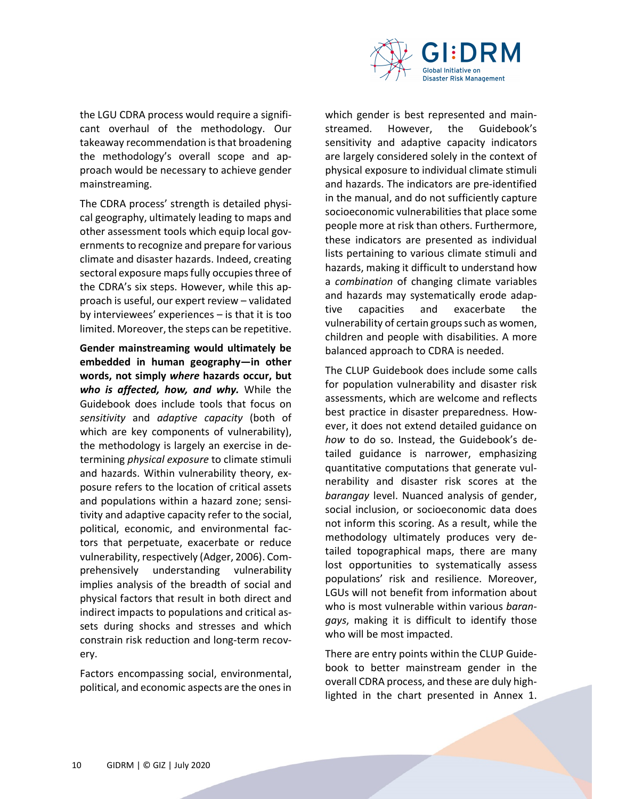

the LGU CDRA process would require a significant overhaul of the methodology. Our takeaway recommendation is that broadening the methodology's overall scope and approach would be necessary to achieve gender mainstreaming.

The CDRA process' strength is detailed physical geography, ultimately leading to maps and other assessment tools which equip local governments to recognize and prepare for various climate and disaster hazards. Indeed, creating sectoral exposure maps fully occupies three of the CDRA's six steps. However, while this approach is useful, our expert review – validated by interviewees' experiences – is that it is too limited. Moreover, the steps can be repetitive.

**Gender mainstreaming would ultimately be embedded in human geography—in other words, not simply** *where* **hazards occur, but**  *who is affected, how, and why.* While the Guidebook does include tools that focus on *sensitivity* and *adaptive capacity* (both of which are key components of vulnerability), the methodology is largely an exercise in determining *physical exposure* to climate stimuli and hazards. Within vulnerability theory, exposure refers to the location of critical assets and populations within a hazard zone; sensitivity and adaptive capacity refer to the social, political, economic, and environmental factors that perpetuate, exacerbate or reduce vulnerability, respectively (Adger, 2006). Comprehensively understanding vulnerability implies analysis of the breadth of social and physical factors that result in both direct and indirect impacts to populations and critical assets during shocks and stresses and which constrain risk reduction and long-term recovery.

Factors encompassing social, environmental, political, and economic aspects are the ones in which gender is best represented and mainstreamed. However, the Guidebook's sensitivity and adaptive capacity indicators are largely considered solely in the context of physical exposure to individual climate stimuli and hazards. The indicators are pre-identified in the manual, and do not sufficiently capture socioeconomic vulnerabilities that place some people more at risk than others. Furthermore, these indicators are presented as individual lists pertaining to various climate stimuli and hazards, making it difficult to understand how a *combination* of changing climate variables and hazards may systematically erode adaptive capacities and exacerbate the vulnerability of certain groups such as women, children and people with disabilities. A more balanced approach to CDRA is needed.

The CLUP Guidebook does include some calls for population vulnerability and disaster risk assessments, which are welcome and reflects best practice in disaster preparedness. However, it does not extend detailed guidance on *how* to do so. Instead, the Guidebook's detailed guidance is narrower, emphasizing quantitative computations that generate vulnerability and disaster risk scores at the *barangay* level. Nuanced analysis of gender, social inclusion, or socioeconomic data does not inform this scoring. As a result, while the methodology ultimately produces very detailed topographical maps, there are many lost opportunities to systematically assess populations' risk and resilience. Moreover, LGUs will not benefit from information about who is most vulnerable within various *barangays*, making it is difficult to identify those who will be most impacted.

There are entry points within the CLUP Guidebook to better mainstream gender in the overall CDRA process, and these are duly highlighted in the chart presented in Annex 1.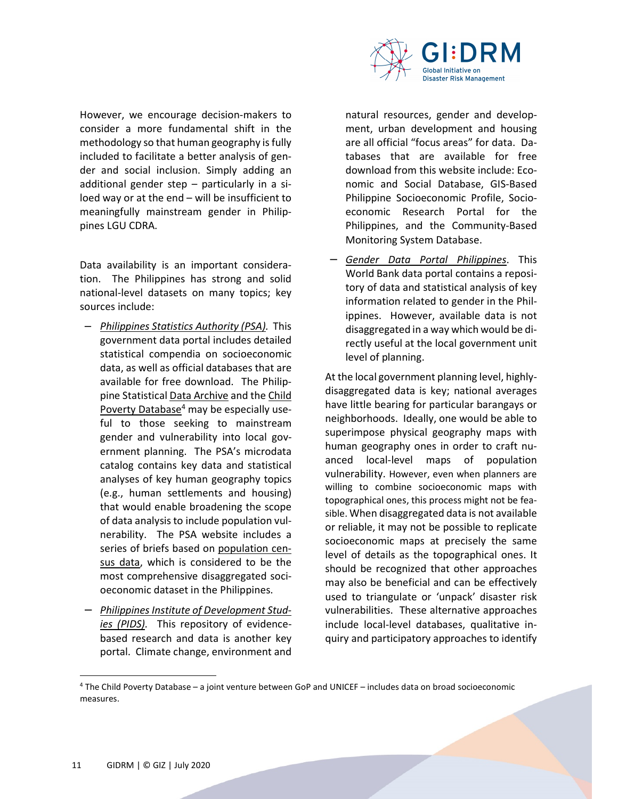

However, we encourage decision-makers to consider a more fundamental shift in the methodology so that human geography is fully included to facilitate a better analysis of gender and social inclusion. Simply adding an additional gender step – particularly in a siloed way or at the end – will be insufficient to meaningfully mainstream gender in Philippines LGU CDRA.

Data availability is an important consideration. The Philippines has strong and solid national-level datasets on many topics; key sources include:

- − *Philippines Statistics Authority (PSA).* This government data portal includes detailed statistical compendia on socioeconomic data, as well as official databases that are available for free download. The Philippine Statistical Data Archive and the Child Poverty Database<sup>4</sup> may be especially useful to those seeking to mainstream gender and vulnerability into local government planning. The PSA's microdata catalog contains key data and statistical analyses of key human geography topics (e.g., human settlements and housing) that would enable broadening the scope of data analysis to include population vulnerability. The PSA website includes a series of briefs based on population census data, which is considered to be the most comprehensive disaggregated socioeconomic dataset in the Philippines.
- − *Philippines Institute of Development Studies (PIDS).* This repository of evidencebased research and data is another key portal. Climate change, environment and

natural resources, gender and development, urban development and housing are all official "focus areas" for data. Databases that are available for free download from this website include: Economic and Social Database, GIS-Based Philippine Socioeconomic Profile, Socioeconomic Research Portal for the Philippines, and the Community-Based Monitoring System Database.

− *Gender Data Portal Philippines*. This World Bank data portal contains a repository of data and statistical analysis of key information related to gender in the Philippines. However, available data is not disaggregated in a way which would be directly useful at the local government unit level of planning.

At the local government planning level, highlydisaggregated data is key; national averages have little bearing for particular barangays or neighborhoods. Ideally, one would be able to superimpose physical geography maps with human geography ones in order to craft nuanced local-level maps of population vulnerability. However, even when planners are willing to combine socioeconomic maps with topographical ones, this process might not be feasible. When disaggregated data is not available or reliable, it may not be possible to replicate socioeconomic maps at precisely the same level of details as the topographical ones. It should be recognized that other approaches may also be beneficial and can be effectively used to triangulate or 'unpack' disaster risk vulnerabilities. These alternative approaches include local-level databases, qualitative inquiry and participatory approaches to identify

l

<sup>4</sup> The Child Poverty Database – a joint venture between GoP and UNICEF – includes data on broad socioeconomic measures.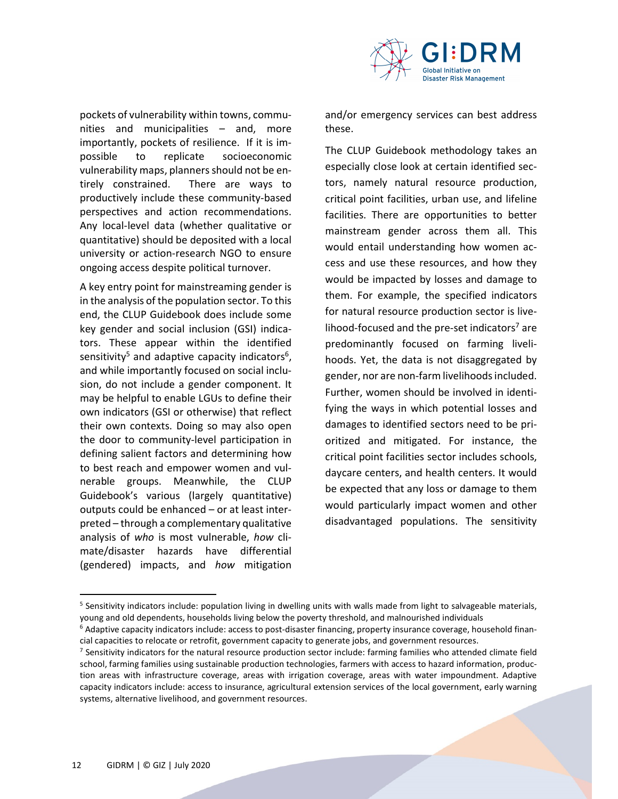

pockets of vulnerability within towns, communities and municipalities – and, more importantly, pockets of resilience. If it is impossible to replicate socioeconomic vulnerability maps, planners should not be entirely constrained. There are ways to productively include these community-based perspectives and action recommendations. Any local-level data (whether qualitative or quantitative) should be deposited with a local university or action-research NGO to ensure ongoing access despite political turnover.

A key entry point for mainstreaming gender is in the analysis of the population sector. To this end, the CLUP Guidebook does include some key gender and social inclusion (GSI) indicators. These appear within the identified sensitivity<sup>5</sup> and adaptive capacity indicators<sup>6</sup>, and while importantly focused on social inclusion, do not include a gender component. It may be helpful to enable LGUs to define their own indicators (GSI or otherwise) that reflect their own contexts. Doing so may also open the door to community-level participation in defining salient factors and determining how to best reach and empower women and vulnerable groups. Meanwhile, the CLUP Guidebook's various (largely quantitative) outputs could be enhanced – or at least interpreted – through a complementary qualitative analysis of *who* is most vulnerable, *how* climate/disaster hazards have differential (gendered) impacts, and *how* mitigation

and/or emergency services can best address these.

The CLUP Guidebook methodology takes an especially close look at certain identified sectors, namely natural resource production, critical point facilities, urban use, and lifeline facilities. There are opportunities to better mainstream gender across them all. This would entail understanding how women access and use these resources, and how they would be impacted by losses and damage to them. For example, the specified indicators for natural resource production sector is livelihood-focused and the pre-set indicators<sup>7</sup> are predominantly focused on farming livelihoods. Yet, the data is not disaggregated by gender, nor are non-farm livelihoods included. Further, women should be involved in identifying the ways in which potential losses and damages to identified sectors need to be prioritized and mitigated. For instance, the critical point facilities sector includes schools, daycare centers, and health centers. It would be expected that any loss or damage to them would particularly impact women and other disadvantaged populations. The sensitivity

ı

<sup>&</sup>lt;sup>5</sup> Sensitivity indicators include: population living in dwelling units with walls made from light to salvageable materials, young and old dependents, households living below the poverty threshold, and malnourished individuals

<sup>&</sup>lt;sup>6</sup> Adaptive capacity indicators include: access to post-disaster financing, property insurance coverage, household financial capacities to relocate or retrofit, government capacity to generate jobs, and government resources.

<sup>&</sup>lt;sup>7</sup> Sensitivity indicators for the natural resource production sector include: farming families who attended climate field school, farming families using sustainable production technologies, farmers with access to hazard information, production areas with infrastructure coverage, areas with irrigation coverage, areas with water impoundment. Adaptive capacity indicators include: access to insurance, agricultural extension services of the local government, early warning systems, alternative livelihood, and government resources.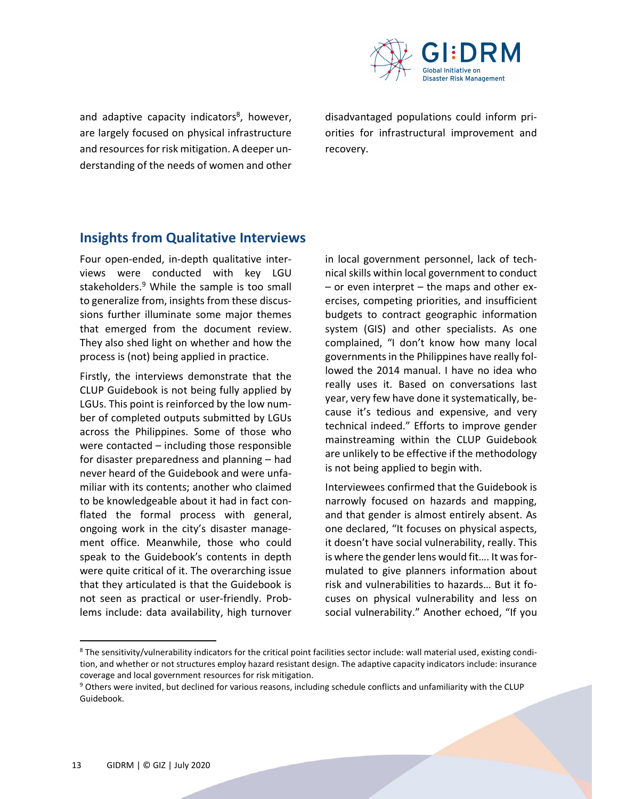

and adaptive capacity indicators<sup>8</sup>, however, are largely focused on physical infrastructure and resources for risk mitigation. A deeper understanding of the needs of women and other

disadvantaged populations could inform priorities for infrastructural improvement and recovery.

## **Insights from Qualitative Interviews**

Four open-ended, in-depth qualitative interviews were conducted with key LGU stakeholders.<sup>9</sup> While the sample is too small to generalize from, insights from these discussions further illuminate some major themes that emerged from the document review. They also shed light on whether and how the process is (not) being applied in practice.

Firstly, the interviews demonstrate that the CLUP Guidebook is not being fully applied by LGUs. This point is reinforced by the low number of completed outputs submitted by LGUs across the Philippines. Some of those who were contacted – including those responsible for disaster preparedness and planning – had never heard of the Guidebook and were unfamiliar with its contents; another who claimed to be knowledgeable about it had in fact conflated the formal process with general, ongoing work in the city's disaster management office. Meanwhile, those who could speak to the Guidebook's contents in depth were quite critical of it. The overarching issue that they articulated is that the Guidebook is not seen as practical or user-friendly. Problems include: data availability, high turnover

in local government personnel, lack of technical skills within local government to conduct – or even interpret – the maps and other exercises, competing priorities, and insufficient budgets to contract geographic information system (GIS) and other specialists. As one complained, "I don't know how many local governments in the Philippines have really followed the 2014 manual. I have no idea who really uses it. Based on conversations last year, very few have done it systematically, because it's tedious and expensive, and very technical indeed." Efforts to improve gender mainstreaming within the CLUP Guidebook are unlikely to be effective if the methodology is not being applied to begin with.

Interviewees confirmed that the Guidebook is narrowly focused on hazards and mapping, and that gender is almost entirely absent. As one declared, "It focuses on physical aspects, it doesn't have social vulnerability, really. This is where the gender lens would fit…. It was formulated to give planners information about risk and vulnerabilities to hazards… But it focuses on physical vulnerability and less on social vulnerability." Another echoed, "If you

l

<sup>&</sup>lt;sup>8</sup> The sensitivity/vulnerability indicators for the critical point facilities sector include: wall material used, existing condition, and whether or not structures employ hazard resistant design. The adaptive capacity indicators include: insurance coverage and local government resources for risk mitigation.

<sup>&</sup>lt;sup>9</sup> Others were invited, but declined for various reasons, including schedule conflicts and unfamiliarity with the CLUP Guidebook.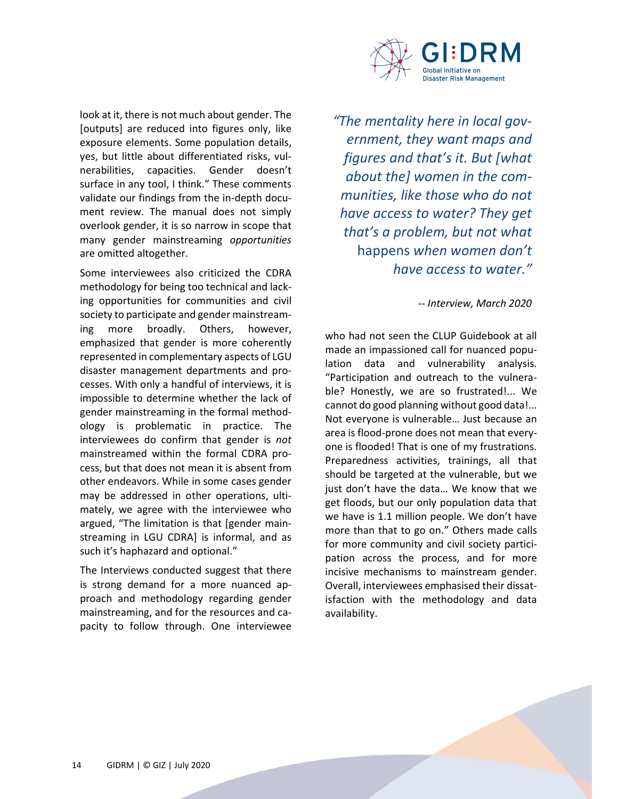

look at it, there is not much about gender. The [outputs] are reduced into figures only, like exposure elements. Some population details, yes, but little about differentiated risks, vulnerabilities, capacities. Gender doesn't surface in any tool, I think." These comments validate our findings from the in-depth document review. The manual does not simply overlook gender, it is so narrow in scope that many gender mainstreaming *opportunities* are omitted altogether.

Some interviewees also criticized the CDRA methodology for being too technical and lacking opportunities for communities and civil society to participate and gender mainstreaming more broadly. Others, however, emphasized that gender is more coherently represented in complementary aspects of LGU disaster management departments and processes. With only a handful of interviews, it is impossible to determine whether the lack of gender mainstreaming in the formal methodology is problematic in practice. The interviewees do confirm that gender is *not* mainstreamed within the formal CDRA process, but that does not mean it is absent from other endeavors. While in some cases gender may be addressed in other operations, ultimately, we agree with the interviewee who argued, "The limitation is that [gender mainstreaming in LGU CDRA] is informal, and as such it's haphazard and optional."

The Interviews conducted suggest that there is strong demand for a more nuanced approach and methodology regarding gender mainstreaming, and for the resources and capacity to follow through. One interviewee

*"The mentality here in local government, they want maps and figures and that's it. But [what about the] women in the communities, like those who do not have access to water? They get that's a problem, but not what*  happens *when women don't have access to water."*

*-- Interview, March 2020* 

who had not seen the CLUP Guidebook at all made an impassioned call for nuanced population data and vulnerability analysis. "Participation and outreach to the vulnerable? Honestly, we are so frustrated!... We cannot do good planning without good data!... Not everyone is vulnerable… Just because an area is flood-prone does not mean that everyone is flooded! That is one of my frustrations. Preparedness activities, trainings, all that should be targeted at the vulnerable, but we just don't have the data… We know that we get floods, but our only population data that we have is 1.1 million people. We don't have more than that to go on." Others made calls for more community and civil society participation across the process, and for more incisive mechanisms to mainstream gender. Overall, interviewees emphasised their dissatisfaction with the methodology and data availability.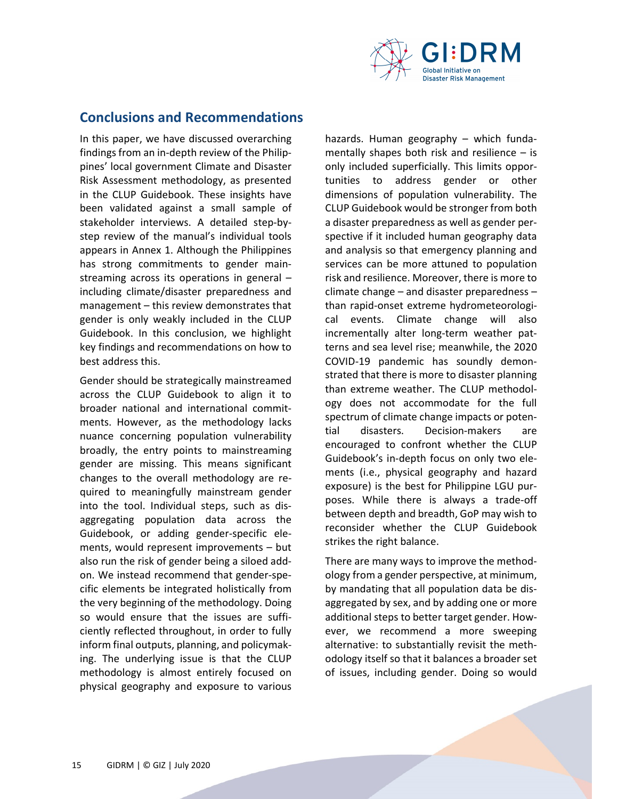

## **Conclusions and Recommendations**

In this paper, we have discussed overarching findings from an in-depth review of the Philippines' local government Climate and Disaster Risk Assessment methodology, as presented in the CLUP Guidebook. These insights have been validated against a small sample of stakeholder interviews. A detailed step-bystep review of the manual's individual tools appears in Annex 1. Although the Philippines has strong commitments to gender mainstreaming across its operations in general – including climate/disaster preparedness and management – this review demonstrates that gender is only weakly included in the CLUP Guidebook. In this conclusion, we highlight key findings and recommendations on how to best address this.

Gender should be strategically mainstreamed across the CLUP Guidebook to align it to broader national and international commitments. However, as the methodology lacks nuance concerning population vulnerability broadly, the entry points to mainstreaming gender are missing. This means significant changes to the overall methodology are required to meaningfully mainstream gender into the tool. Individual steps, such as disaggregating population data across the Guidebook, or adding gender-specific elements, would represent improvements – but also run the risk of gender being a siloed addon. We instead recommend that gender-specific elements be integrated holistically from the very beginning of the methodology. Doing so would ensure that the issues are sufficiently reflected throughout, in order to fully inform final outputs, planning, and policymaking. The underlying issue is that the CLUP methodology is almost entirely focused on physical geography and exposure to various hazards. Human geography – which fundamentally shapes both risk and resilience  $-$  is only included superficially. This limits opportunities to address gender or other dimensions of population vulnerability. The CLUP Guidebook would be stronger from both a disaster preparedness as well as gender perspective if it included human geography data and analysis so that emergency planning and services can be more attuned to population risk and resilience. Moreover, there is more to climate change – and disaster preparedness – than rapid-onset extreme hydrometeorological events. Climate change will also incrementally alter long-term weather patterns and sea level rise; meanwhile, the 2020 COVID-19 pandemic has soundly demonstrated that there is more to disaster planning than extreme weather. The CLUP methodology does not accommodate for the full spectrum of climate change impacts or potential disasters. Decision-makers are encouraged to confront whether the CLUP Guidebook's in-depth focus on only two elements (i.e., physical geography and hazard exposure) is the best for Philippine LGU purposes. While there is always a trade-off between depth and breadth, GoP may wish to reconsider whether the CLUP Guidebook strikes the right balance.

There are many ways to improve the methodology from a gender perspective, at minimum, by mandating that all population data be disaggregated by sex, and by adding one or more additional steps to better target gender. However, we recommend a more sweeping alternative: to substantially revisit the methodology itself so that it balances a broader set of issues, including gender. Doing so would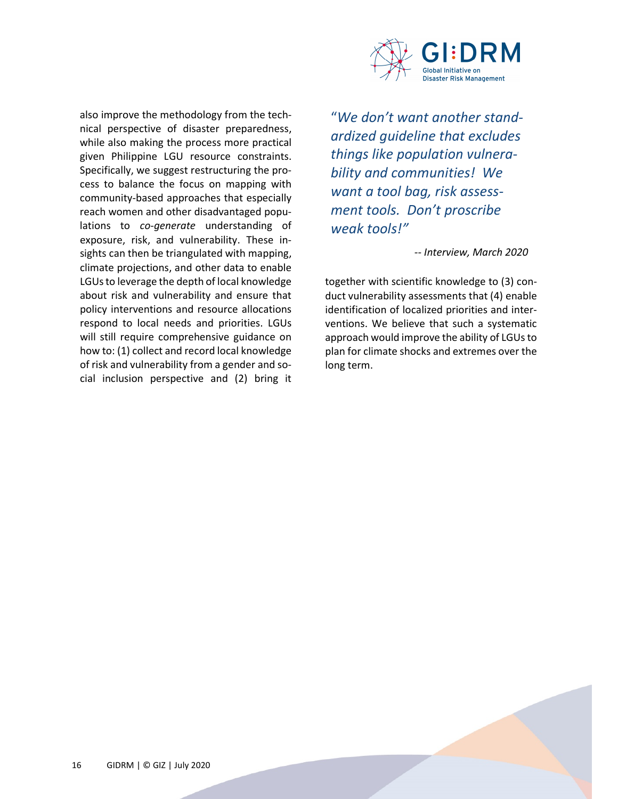

also improve the methodology from the technical perspective of disaster preparedness, while also making the process more practical given Philippine LGU resource constraints. Specifically, we suggest restructuring the process to balance the focus on mapping with community-based approaches that especially reach women and other disadvantaged populations to *co-generate* understanding of exposure, risk, and vulnerability. These insights can then be triangulated with mapping, climate projections, and other data to enable LGUs to leverage the depth of local knowledge about risk and vulnerability and ensure that policy interventions and resource allocations respond to local needs and priorities. LGUs will still require comprehensive guidance on how to: (1) collect and record local knowledge of risk and vulnerability from a gender and social inclusion perspective and (2) bring it

"*We don't want another standardized guideline that excludes things like population vulnerability and communities! We want a tool bag, risk assessment tools. Don't proscribe weak tools!"* 

*-- Interview, March 2020* 

together with scientific knowledge to (3) conduct vulnerability assessments that (4) enable identification of localized priorities and interventions. We believe that such a systematic approach would improve the ability of LGUs to plan for climate shocks and extremes over the long term.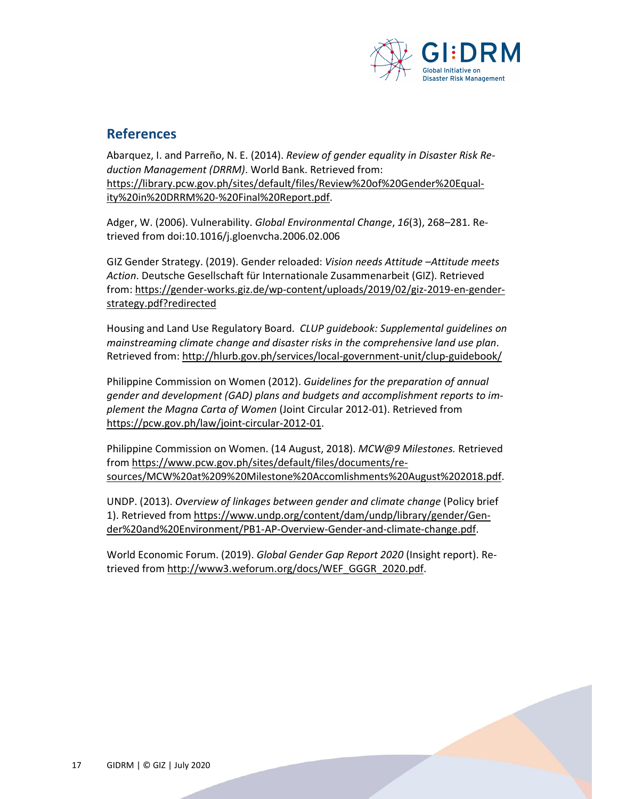

## **References**

Abarquez, I. and Parreño, N. E. (2014). *Review of gender equality in Disaster Risk Reduction Management (DRRM)*. World Bank. Retrieved from: https://library.pcw.gov.ph/sites/default/files/Review%20of%20Gender%20Equality%20in%20DRRM%20-%20Final%20Report.pdf.

Adger, W. (2006). Vulnerability. *Global Environmental Change*, *16*(3), 268–281. Retrieved from doi:10.1016/j.gloenvcha.2006.02.006

GIZ Gender Strategy. (2019). Gender reloaded: *Vision needs Attitude –Attitude meets Action*. Deutsche Gesellschaft für Internationale Zusammenarbeit (GIZ). Retrieved from: https://gender-works.giz.de/wp-content/uploads/2019/02/giz-2019-en-genderstrategy.pdf?redirected

Housing and Land Use Regulatory Board. *CLUP guidebook: Supplemental guidelines on mainstreaming climate change and disaster risks in the comprehensive land use plan*. Retrieved from: http://hlurb.gov.ph/services/local-government-unit/clup-guidebook/

Philippine Commission on Women (2012). *Guidelines for the preparation of annual gender and development (GAD) plans and budgets and accomplishment reports to implement the Magna Carta of Women* (Joint Circular 2012-01). Retrieved from https://pcw.gov.ph/law/joint-circular-2012-01.

Philippine Commission on Women. (14 August, 2018). *MCW@9 Milestones.* Retrieved from https://www.pcw.gov.ph/sites/default/files/documents/resources/MCW%20at%209%20Milestone%20Accomlishments%20August%202018.pdf.

UNDP. (2013). *Overview of linkages between gender and climate change* (Policy brief 1). Retrieved from https://www.undp.org/content/dam/undp/library/gender/Gender%20and%20Environment/PB1-AP-Overview-Gender-and-climate-change.pdf.

World Economic Forum. (2019). *Global Gender Gap Report 2020* (Insight report). Retrieved from http://www3.weforum.org/docs/WEF\_GGGR\_2020.pdf.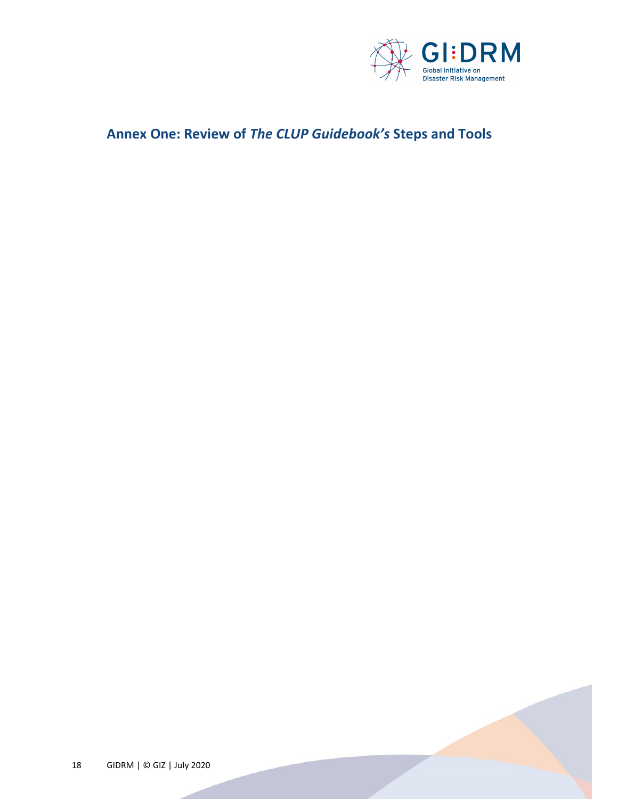

## **Annex One: Review of** *The CLUP Guidebook's* **Steps and Tools**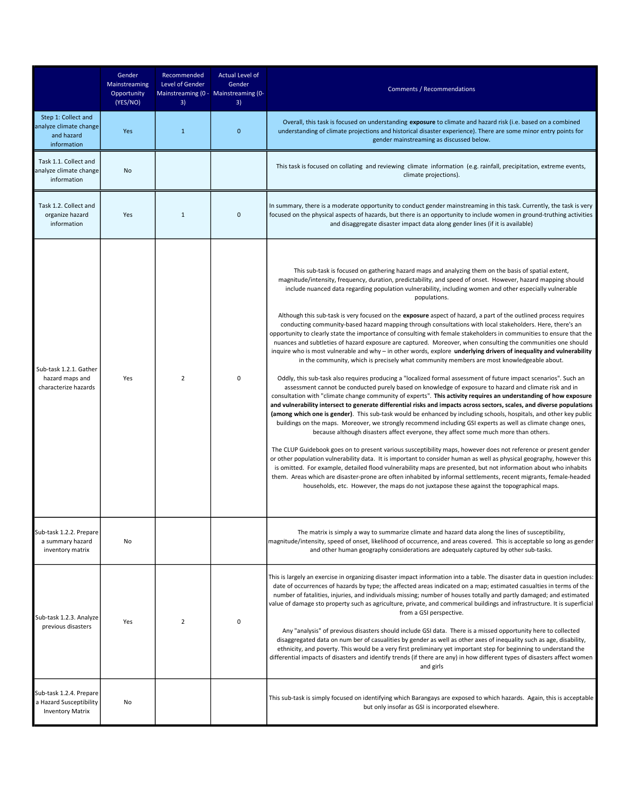|                                                                               | Gender<br>Mainstreaming<br>Opportunity<br>(YES/NO) | Recommended<br>Level of Gender<br>Mainstreaming (0 -   Mainstreaming (0-<br>3) | <b>Actual Level of</b><br>Gender<br>3) | Comments / Recommendations                                                                                                                                                                                                                                                                                                                                                                                                                                                                                                                                                                                                                                                                                                                                                                                                                                                                                                                                                                                                                                                                                                                                                                                                                                                                                                                                                                                                                                                                                                                                                                                                                                                                                                                                                                                                                                                                                                                                                                                                                                                                                                                                                                                                                                                                                                                                                                                                              |
|-------------------------------------------------------------------------------|----------------------------------------------------|--------------------------------------------------------------------------------|----------------------------------------|-----------------------------------------------------------------------------------------------------------------------------------------------------------------------------------------------------------------------------------------------------------------------------------------------------------------------------------------------------------------------------------------------------------------------------------------------------------------------------------------------------------------------------------------------------------------------------------------------------------------------------------------------------------------------------------------------------------------------------------------------------------------------------------------------------------------------------------------------------------------------------------------------------------------------------------------------------------------------------------------------------------------------------------------------------------------------------------------------------------------------------------------------------------------------------------------------------------------------------------------------------------------------------------------------------------------------------------------------------------------------------------------------------------------------------------------------------------------------------------------------------------------------------------------------------------------------------------------------------------------------------------------------------------------------------------------------------------------------------------------------------------------------------------------------------------------------------------------------------------------------------------------------------------------------------------------------------------------------------------------------------------------------------------------------------------------------------------------------------------------------------------------------------------------------------------------------------------------------------------------------------------------------------------------------------------------------------------------------------------------------------------------------------------------------------------------|
| Step 1: Collect and<br>analyze climate change<br>and hazard<br>information    | Yes                                                | $\mathbf{1}$                                                                   | $\mathbf 0$                            | Overall, this task is focused on understanding exposure to climate and hazard risk (i.e. based on a combined<br>understanding of climate projections and historical disaster experience). There are some minor entry points for<br>gender mainstreaming as discussed below.                                                                                                                                                                                                                                                                                                                                                                                                                                                                                                                                                                                                                                                                                                                                                                                                                                                                                                                                                                                                                                                                                                                                                                                                                                                                                                                                                                                                                                                                                                                                                                                                                                                                                                                                                                                                                                                                                                                                                                                                                                                                                                                                                             |
| Task 1.1. Collect and<br>analyze climate change<br>information                | No                                                 |                                                                                |                                        | This task is focused on collating and reviewing climate information (e.g. rainfall, precipitation, extreme events,<br>climate projections).                                                                                                                                                                                                                                                                                                                                                                                                                                                                                                                                                                                                                                                                                                                                                                                                                                                                                                                                                                                                                                                                                                                                                                                                                                                                                                                                                                                                                                                                                                                                                                                                                                                                                                                                                                                                                                                                                                                                                                                                                                                                                                                                                                                                                                                                                             |
| Task 1.2. Collect and<br>organize hazard<br>information                       | Yes                                                | 1                                                                              | 0                                      | In summary, there is a moderate opportunity to conduct gender mainstreaming in this task. Currently, the task is very<br>focused on the physical aspects of hazards, but there is an opportunity to include women in ground-truthing activities<br>and disaggregate disaster impact data along gender lines (if it is available)                                                                                                                                                                                                                                                                                                                                                                                                                                                                                                                                                                                                                                                                                                                                                                                                                                                                                                                                                                                                                                                                                                                                                                                                                                                                                                                                                                                                                                                                                                                                                                                                                                                                                                                                                                                                                                                                                                                                                                                                                                                                                                        |
| Sub-task 1.2.1. Gather<br>hazard maps and<br>characterize hazards             | Yes                                                | $\overline{2}$                                                                 | 0                                      | This sub-task is focused on gathering hazard maps and analyzing them on the basis of spatial extent,<br>magnitude/intensity, frequency, duration, predictability, and speed of onset. However, hazard mapping should<br>include nuanced data regarding population vulnerability, including women and other especially vulnerable<br>populations.<br>Although this sub-task is very focused on the exposure aspect of hazard, a part of the outlined process requires<br>conducting community-based hazard mapping through consultations with local stakeholders. Here, there's an<br>opportunity to clearly state the importance of consulting with female stakeholders in communities to ensure that the<br>nuances and subtleties of hazard exposure are captured. Moreover, when consulting the communities one should<br>inguire who is most vulnerable and why - in other words, explore underlying drivers of inequality and vulnerability<br>in the community, which is precisely what community members are most knowledgeable about.<br>Oddly, this sub-task also requires producing a "localized formal assessment of future impact scenarios". Such an<br>assessment cannot be conducted purely based on knowledge of exposure to hazard and climate risk and in<br>consultation with "climate change community of experts". This activity requires an understanding of how exposure<br>and vulnerability intersect to generate differential risks and impacts across sectors, scales, and diverse populations<br>(among which one is gender). This sub-task would be enhanced by including schools, hospitals, and other key public<br>buildings on the maps. Moreover, we strongly recommend including GSI experts as well as climate change ones,<br>because although disasters affect everyone, they affect some much more than others.<br>The CLUP Guidebook goes on to present various susceptibility maps, however does not reference or present gender<br>or other population vulnerability data. It is important to consider human as well as physical geography, however this<br>is omitted. For example, detailed flood vulnerability maps are presented, but not information about who inhabits<br>them. Areas which are disaster-prone are often inhabited by informal settlements, recent migrants, female-headed<br>households, etc. However, the maps do not juxtapose these against the topographical maps. |
| Sub-task 1.2.2. Prepare<br>a summary hazard<br>inventory matrix               | No                                                 |                                                                                |                                        | The matrix is simply a way to summarize climate and hazard data along the lines of susceptibility,<br>magnitude/intensity, speed of onset, likelihood of occurrence, and areas covered. This is acceptable so long as gender<br>and other human geography considerations are adequately captured by other sub-tasks.                                                                                                                                                                                                                                                                                                                                                                                                                                                                                                                                                                                                                                                                                                                                                                                                                                                                                                                                                                                                                                                                                                                                                                                                                                                                                                                                                                                                                                                                                                                                                                                                                                                                                                                                                                                                                                                                                                                                                                                                                                                                                                                    |
| Sub-task 1.2.3. Analyze<br>previous disasters                                 | Yes                                                | 2                                                                              | 0                                      | This is largely an exercise in organizing disaster impact information into a table. The disaster data in question includes:<br>date of occurrences of hazards by type; the affected areas indicated on a map; estimated casualties in terms of the<br>number of fatalities, injuries, and individuals missing; number of houses totally and partly damaged; and estimated<br>value of damage sto property such as agriculture, private, and commerical buildings and infrastructure. It is superficial<br>from a GSI perspective.<br>Any "analysis" of previous disasters should include GSI data. There is a missed opportunity here to collected<br>disaggregated data on num ber of casualities by gender as well as other axes of inequality such as age, disability,<br>ethnicity, and poverty. This would be a very first preliminary yet important step for beginning to understand the<br>differential impacts of disasters and identify trends (if there are any) in how different types of disasters affect women<br>and girls                                                                                                                                                                                                                                                                                                                                                                                                                                                                                                                                                                                                                                                                                                                                                                                                                                                                                                                                                                                                                                                                                                                                                                                                                                                                                                                                                                                                |
| Sub-task 1.2.4. Prepare<br>a Hazard Susceptibility<br><b>Inventory Matrix</b> | No                                                 |                                                                                |                                        | This sub-task is simply focused on identifying which Barangays are exposed to which hazards. Again, this is acceptable<br>but only insofar as GSI is incorporated elsewhere.                                                                                                                                                                                                                                                                                                                                                                                                                                                                                                                                                                                                                                                                                                                                                                                                                                                                                                                                                                                                                                                                                                                                                                                                                                                                                                                                                                                                                                                                                                                                                                                                                                                                                                                                                                                                                                                                                                                                                                                                                                                                                                                                                                                                                                                            |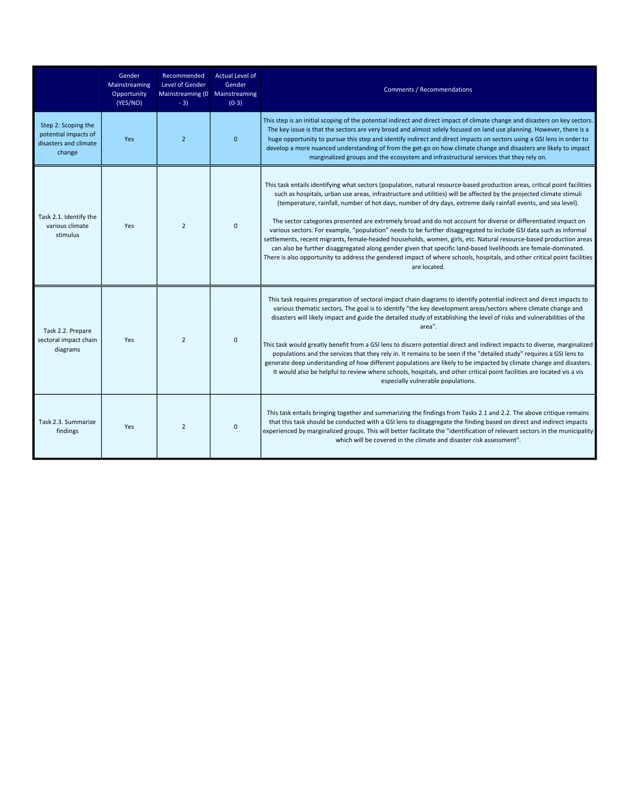|                                                                                | Gender<br>Mainstreaming<br>Opportunity<br>(YES/NO) | Recommended<br>Level of Gender<br>Mainstreaming (0 Mainstreaming<br>$-3)$ | <b>Actual Level of</b><br>Gender<br>$(0-3)$ | <b>Comments / Recommendations</b>                                                                                                                                                                                                                                                                                                                                                                                                                                                                                                                                                                                                                                                                                                                                                                                                                                                                                                                                                                |
|--------------------------------------------------------------------------------|----------------------------------------------------|---------------------------------------------------------------------------|---------------------------------------------|--------------------------------------------------------------------------------------------------------------------------------------------------------------------------------------------------------------------------------------------------------------------------------------------------------------------------------------------------------------------------------------------------------------------------------------------------------------------------------------------------------------------------------------------------------------------------------------------------------------------------------------------------------------------------------------------------------------------------------------------------------------------------------------------------------------------------------------------------------------------------------------------------------------------------------------------------------------------------------------------------|
| Step 2: Scoping the<br>potential impacts of<br>disasters and climate<br>change | Yes                                                | $\overline{2}$                                                            | $\mathbf{0}$                                | This step is an initial scoping of the potential indirect and direct impact of climate change and disasters on key sectors.<br>The key issue is that the sectors are very broad and almost solely focused on land use planning. However, there is a<br>huge opportunity to pursue this step and identify indirect and direct impacts on sectors using a GSI lens in order to<br>develop a more nuanced understanding of from the get-go on how climate change and disasters are likely to impact<br>marginalized groups and the ecosystem and infrastructural services that they rely on.                                                                                                                                                                                                                                                                                                                                                                                                        |
| Task 2.1. Identify the<br>various climate<br>stimulus                          | Yes                                                | $\overline{2}$                                                            | $\Omega$                                    | This task entails identifying what sectors (population, natural resource-based production areas, critical point facilities<br>such as hospitals, urban use areas, infrastructure and utilities) will be affected by the projected climate stimuli<br>(temperature, rainfall, number of hot days, number of dry days, extreme daily rainfall events, and sea level).<br>The sector categories presented are extremely broad and do not account for diverse or differentiated impact on<br>various sectors. For example, "population" needs to be further disaggregated to include GSI data such as informal<br>settlements, recent migrants, female-headed households, women, girls, etc. Natural resource-based production areas<br>can also be further disaggregated along gender given that specific land-based livelihoods are female-dominated.<br>There is also opportunity to address the gendered impact of where schools, hospitals, and other critical point facilities<br>are located. |
| Task 2.2. Prepare<br>sectoral impact chain<br>diagrams                         | Yes                                                | $\overline{2}$                                                            | $\Omega$                                    | This task requires preparation of sectoral impact chain diagrams to identify potential indirect and direct impacts to<br>various thematic sectors. The goal is to identify "the key development areas/sectors where climate change and<br>disasters will likely impact and guide the detailed study of establishing the level of risks and vulnerabilities of the<br>area".<br>This task would greatly benefit from a GSI lens to discern potential direct and indirect impacts to diverse, marginalized<br>populations and the services that they rely in. It remains to be seen if the "detailed study" requires a GSI lens to<br>generate deep understanding of how different populations are likely to be impacted by climate change and disasters.<br>It would also be helpful to review where schools, hospitals, and other critical point facilities are located vis a vis<br>especially vulnerable populations.                                                                          |
| Task 2.3. Summarize<br>findings                                                | Yes                                                | $\overline{2}$                                                            | $\mathbf 0$                                 | This task entails bringing together and summarizing the findings from Tasks 2.1 and 2.2. The above critique remains<br>that this task should be conducted with a GSI lens to disaggregate the finding based on direct and indirect impacts<br>experienced by marginalized groups. This will better facilitate the "identification of relevant sectors in the municipality<br>which will be covered in the climate and disaster risk assessment".                                                                                                                                                                                                                                                                                                                                                                                                                                                                                                                                                 |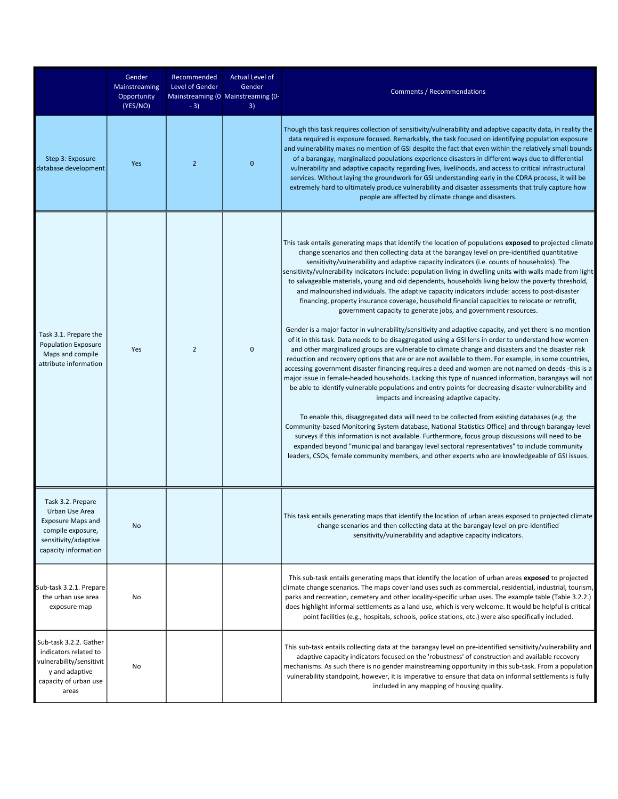|                                                                                                                                      | Gender<br>Mainstreaming<br>Opportunity<br>(YES/NO) | Recommended<br>Level of Gender<br>$-3)$ | Actual Level of<br>Gender<br>Mainstreaming (0   Mainstreaming (0-<br>3) | Comments / Recommendations                                                                                                                                                                                                                                                                                                                                                                                                                                                                                                                                                                                                                                                                                                                                                                                                                                                                                                                                                                                                                                                                                                                                                                                                                                                                                                                                                                                                                                                                                                                                                                                                                                                                                                                                                                                                                                                                                                                                                                                                                                                                                                         |
|--------------------------------------------------------------------------------------------------------------------------------------|----------------------------------------------------|-----------------------------------------|-------------------------------------------------------------------------|------------------------------------------------------------------------------------------------------------------------------------------------------------------------------------------------------------------------------------------------------------------------------------------------------------------------------------------------------------------------------------------------------------------------------------------------------------------------------------------------------------------------------------------------------------------------------------------------------------------------------------------------------------------------------------------------------------------------------------------------------------------------------------------------------------------------------------------------------------------------------------------------------------------------------------------------------------------------------------------------------------------------------------------------------------------------------------------------------------------------------------------------------------------------------------------------------------------------------------------------------------------------------------------------------------------------------------------------------------------------------------------------------------------------------------------------------------------------------------------------------------------------------------------------------------------------------------------------------------------------------------------------------------------------------------------------------------------------------------------------------------------------------------------------------------------------------------------------------------------------------------------------------------------------------------------------------------------------------------------------------------------------------------------------------------------------------------------------------------------------------------|
| Step 3: Exposure<br>database development                                                                                             | Yes                                                | $\overline{2}$                          | 0                                                                       | Though this task requires collection of sensitivity/vulnerability and adaptive capacity data, in reality the<br>data required is exposure focused. Remarkably, the task focused on identifying population exposure<br>and vulnerability makes no mention of GSI despite the fact that even within the relatively small bounds<br>of a barangay, marginalized populations experience disasters in different ways due to differential<br>vulnerability and adaptive capacity regarding lives, livelihoods, and access to critical infrastructural<br>services. Without laying the groundwork for GSI understanding early in the CDRA process, it will be<br>extremely hard to ultimately produce vulnerability and disaster assessments that truly capture how<br>people are affected by climate change and disasters.                                                                                                                                                                                                                                                                                                                                                                                                                                                                                                                                                                                                                                                                                                                                                                                                                                                                                                                                                                                                                                                                                                                                                                                                                                                                                                               |
| Task 3.1. Prepare the<br><b>Population Exposure</b><br>Maps and compile<br>attribute information                                     | Yes                                                | $\overline{2}$                          | $\mathbf 0$                                                             | This task entails generating maps that identify the location of populations exposed to projected climate<br>change scenarios and then collecting data at the barangay level on pre-identified quantitative<br>sensitivity/vulnerability and adaptive capacity indicators (i.e. counts of households). The<br>sensitivity/vulnerability indicators include: population living in dwelling units with walls made from light<br>to salvageable materials, young and old dependents, households living below the poverty threshold,<br>and malnourished individuals. The adaptive capacity indicators include: access to post-disaster<br>financing, property insurance coverage, household financial capacities to relocate or retrofit,<br>government capacity to generate jobs, and government resources.<br>Gender is a major factor in vulnerability/sensitivity and adaptive capacity, and yet there is no mention<br>of it in this task. Data needs to be disaggregated using a GSI lens in order to understand how women<br>and other marginalized groups are vulnerable to climate change and disasters and the disaster risk<br>reduction and recovery options that are or are not available to them. For example, in some countries,<br>accessing government disaster financing requires a deed and women are not named on deeds -this is a<br>major issue in female-headed households. Lacking this type of nuanced information, barangays will not<br>be able to identify vulnerable populations and entry points for decreasing disaster vulnerability and<br>impacts and increasing adaptive capacity.<br>To enable this, disaggregated data will need to be collected from existing databases (e.g. the<br>Community-based Monitoring System database, National Statistics Office) and through barangay-level<br>surveys if this information is not available. Furthermore, focus group discussions will need to be<br>expanded beyond "municipal and barangay level sectoral representatives" to include community<br>leaders, CSOs, female community members, and other experts who are knowledgeable of GSI issues. |
| Task 3.2. Prepare<br>Urban Use Area<br><b>Exposure Maps and</b><br>compile exposure,<br>sensitivity/adaptive<br>capacity information | No                                                 |                                         |                                                                         | This task entails generating maps that identify the location of urban areas exposed to projected climate<br>change scenarios and then collecting data at the barangay level on pre-identified<br>sensitivity/vulnerability and adaptive capacity indicators.                                                                                                                                                                                                                                                                                                                                                                                                                                                                                                                                                                                                                                                                                                                                                                                                                                                                                                                                                                                                                                                                                                                                                                                                                                                                                                                                                                                                                                                                                                                                                                                                                                                                                                                                                                                                                                                                       |
| Sub-task 3.2.1. Prepare<br>the urban use area<br>exposure map                                                                        | No                                                 |                                         |                                                                         | This sub-task entails generating maps that identify the location of urban areas exposed to projected<br>climate change scenarios. The maps cover land uses such as commercial, residential, industrial, tourism,<br>parks and recreation, cemetery and other locality-specific urban uses. The example table (Table 3.2.2.)<br>does highlight informal settlements as a land use, which is very welcome. It would be helpful is critical<br>point facilities (e.g., hospitals, schools, police stations, etc.) were also specifically included.                                                                                                                                                                                                                                                                                                                                                                                                                                                                                                                                                                                                                                                                                                                                                                                                                                                                                                                                                                                                                                                                                                                                                                                                                                                                                                                                                                                                                                                                                                                                                                                    |
| Sub-task 3.2.2. Gather<br>indicators related to<br>vulnerability/sensitivit<br>y and adaptive<br>capacity of urban use<br>areas      | No                                                 |                                         |                                                                         | This sub-task entails collecting data at the barangay level on pre-identified sensitivity/vulnerability and<br>adaptive capacity indicators focused on the 'robustness' of construction and available recovery<br>mechanisms. As such there is no gender mainstreaming opportunity in this sub-task. From a population<br>vulnerability standpoint, however, it is imperative to ensure that data on informal settlements is fully<br>included in any mapping of housing quality.                                                                                                                                                                                                                                                                                                                                                                                                                                                                                                                                                                                                                                                                                                                                                                                                                                                                                                                                                                                                                                                                                                                                                                                                                                                                                                                                                                                                                                                                                                                                                                                                                                                  |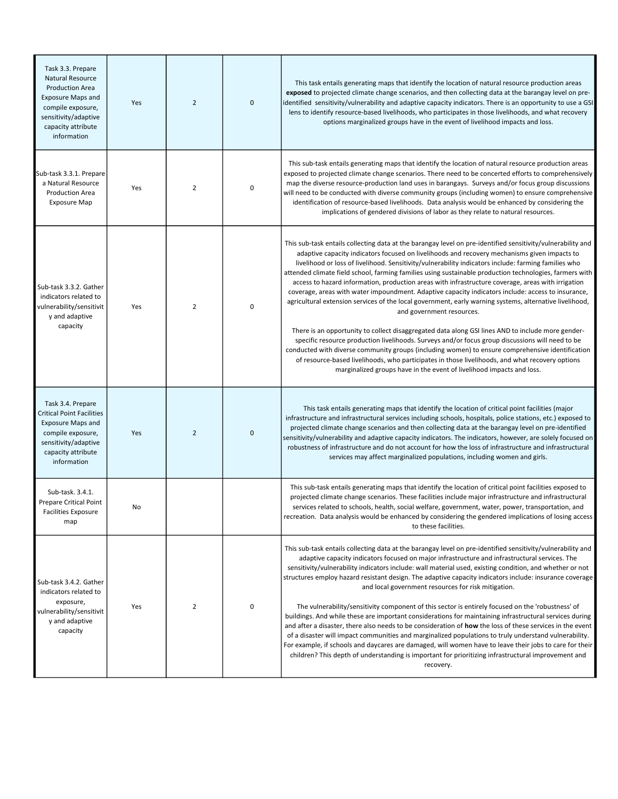| Task 3.3. Prepare<br><b>Natural Resource</b><br><b>Production Area</b><br><b>Exposure Maps and</b><br>compile exposure,<br>sensitivity/adaptive<br>capacity attribute<br>information | Yes | $\overline{2}$ | $\mathbf 0$ | This task entails generating maps that identify the location of natural resource production areas<br>exposed to projected climate change scenarios, and then collecting data at the barangay level on pre-<br>identified sensitivity/vulnerability and adaptive capacity indicators. There is an opportunity to use a GSI<br>lens to identify resource-based livelihoods, who participates in those livelihoods, and what recovery<br>options marginalized groups have in the event of livelihood impacts and loss.                                                                                                                                                                                                                                                                                                                                                                                                                                                                                                                                                                                                                                                                                                                                                         |
|--------------------------------------------------------------------------------------------------------------------------------------------------------------------------------------|-----|----------------|-------------|-----------------------------------------------------------------------------------------------------------------------------------------------------------------------------------------------------------------------------------------------------------------------------------------------------------------------------------------------------------------------------------------------------------------------------------------------------------------------------------------------------------------------------------------------------------------------------------------------------------------------------------------------------------------------------------------------------------------------------------------------------------------------------------------------------------------------------------------------------------------------------------------------------------------------------------------------------------------------------------------------------------------------------------------------------------------------------------------------------------------------------------------------------------------------------------------------------------------------------------------------------------------------------|
| Sub-task 3.3.1. Prepare<br>a Natural Resource<br><b>Production Area</b><br><b>Exposure Map</b>                                                                                       | Yes | $\overline{2}$ | 0           | This sub-task entails generating maps that identify the location of natural resource production areas<br>exposed to projected climate change scenarios. There need to be concerted efforts to comprehensively<br>map the diverse resource-production land uses in barangays. Surveys and/or focus group discussions<br>will need to be conducted with diverse community groups (including women) to ensure comprehensive<br>identification of resource-based livelihoods. Data analysis would be enhanced by considering the<br>implications of gendered divisions of labor as they relate to natural resources.                                                                                                                                                                                                                                                                                                                                                                                                                                                                                                                                                                                                                                                            |
| Sub-task 3.3.2. Gather<br>indicators related to<br>vulnerability/sensitivit<br>y and adaptive<br>capacity                                                                            | Yes | $\overline{2}$ | 0           | This sub-task entails collecting data at the barangay level on pre-identified sensitivity/vulnerability and<br>adaptive capacity indicators focused on livelihoods and recovery mechanisms given impacts to<br>livelihood or loss of livelihood. Sensitivity/vulnerability indicators include: farming families who<br>attended climate field school, farming families using sustainable production technologies, farmers with<br>access to hazard information, production areas with infrastructure coverage, areas with irrigation<br>coverage, areas with water impoundment. Adaptive capacity indicators include: access to insurance,<br>agricultural extension services of the local government, early warning systems, alternative livelihood,<br>and government resources.<br>There is an opportunity to collect disaggregated data along GSI lines AND to include more gender-<br>specific resource production livelihoods. Surveys and/or focus group discussions will need to be<br>conducted with diverse community groups (including women) to ensure comprehensive identification<br>of resource-based livelihoods, who participates in those livelihoods, and what recovery options<br>marginalized groups have in the event of livelihood impacts and loss. |
| Task 3.4. Prepare<br><b>Critical Point Facilities</b><br><b>Exposure Maps and</b><br>compile exposure,<br>sensitivity/adaptive<br>capacity attribute<br>information                  | Yes | $\overline{2}$ | $\bf 0$     | This task entails generating maps that identify the location of critical point facilities (major<br>infrastructure and infrastructural services including schools, hospitals, police stations, etc.) exposed to<br>projected climate change scenarios and then collecting data at the barangay level on pre-identified<br>sensitivity/vulnerability and adaptive capacity indicators. The indicators, however, are solely focused on<br>robustness of infrastructure and do not account for how the loss of infrastructure and infrastructural<br>services may affect marginalized populations, including women and girls.                                                                                                                                                                                                                                                                                                                                                                                                                                                                                                                                                                                                                                                  |
| Sub-task. 3.4.1.<br><b>Prepare Critical Point</b><br><b>Facilities Exposure</b><br>map                                                                                               | No  |                |             | This sub-task entails generating maps that identify the location of critical point facilities exposed to<br>projected climate change scenarios. These facilities include major infrastructure and infrastructural<br>services related to schools, health, social welfare, government, water, power, transportation, and<br>recreation. Data analysis would be enhanced by considering the gendered implications of losing access<br>to these facilities.                                                                                                                                                                                                                                                                                                                                                                                                                                                                                                                                                                                                                                                                                                                                                                                                                    |
| Sub-task 3.4.2. Gather<br>indicators related to<br>exposure,<br>vulnerability/sensitivit<br>y and adaptive<br>capacity                                                               | Yes | $\overline{2}$ | 0           | This sub-task entails collecting data at the barangay level on pre-identified sensitivity/vulnerability and<br>adaptive capacity indicators focused on major infrastructure and infrastructural services. The<br>sensitivity/vulnerability indicators include: wall material used, existing condition, and whether or not<br>structures employ hazard resistant design. The adaptive capacity indicators include: insurance coverage<br>and local government resources for risk mitigation.<br>The vulnerability/sensitivity component of this sector is entirely focused on the 'robustness' of<br>buildings. And while these are important considerations for maintaining infrastructural services during<br>and after a disaster, there also needs to be consideration of how the loss of these services in the event<br>of a disaster will impact communities and marginalized populations to truly understand vulnerability.<br>For example, if schools and daycares are damaged, will women have to leave their jobs to care for their<br>children? This depth of understanding is important for prioritizing infrastructural improvement and<br>recovery.                                                                                                            |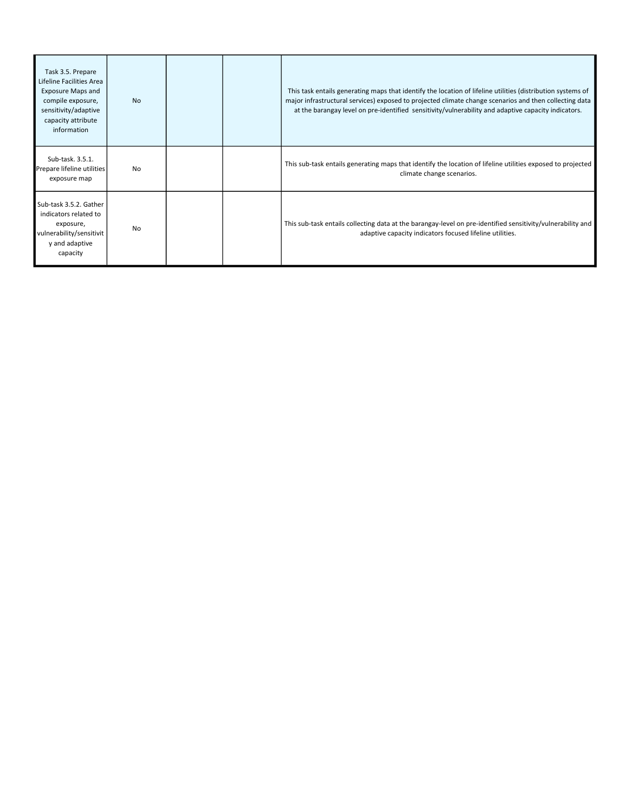| Task 3.5. Prepare<br>Lifeline Facilities Area<br><b>Exposure Maps and</b><br>compile exposure,<br>sensitivity/adaptive<br>capacity attribute<br>information | <b>No</b> |  | This task entails generating maps that identify the location of lifeline utilities (distribution systems of<br>major infrastructural services) exposed to projected climate change scenarios and then collecting data<br>at the barangay level on pre-identified sensitivity/vulnerability and adaptive capacity indicators. |
|-------------------------------------------------------------------------------------------------------------------------------------------------------------|-----------|--|------------------------------------------------------------------------------------------------------------------------------------------------------------------------------------------------------------------------------------------------------------------------------------------------------------------------------|
| Sub-task. 3.5.1.<br>Prepare lifeline utilities<br>exposure map                                                                                              | <b>No</b> |  | This sub-task entails generating maps that identify the location of lifeline utilities exposed to projected<br>climate change scenarios.                                                                                                                                                                                     |
| Sub-task 3.5.2. Gather<br>indicators related to<br>exposure,<br>vulnerability/sensitivit<br>y and adaptive<br>capacity                                      | <b>No</b> |  | This sub-task entails collecting data at the barangay-level on pre-identified sensitivity/vulnerability and<br>adaptive capacity indicators focused lifeline utilities.                                                                                                                                                      |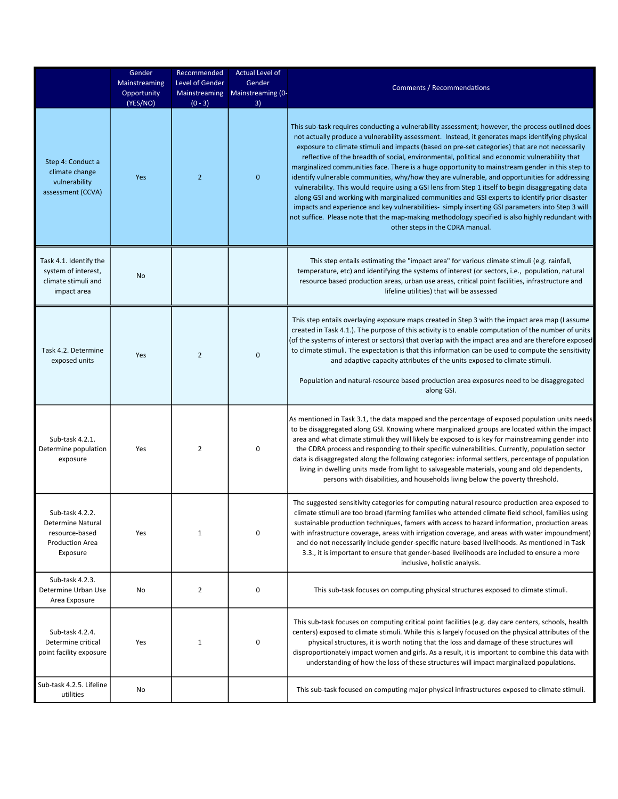|                                                                                              | Gender<br><b>Mainstreaming</b><br>Opportunity<br>(YES/NO) | Recommended<br>Level of Gender<br>Mainstreaming<br>$(0 - 3)$ | <b>Actual Level of</b><br>Gender<br>Mainstreaming (0-<br>3) | <b>Comments / Recommendations</b>                                                                                                                                                                                                                                                                                                                                                                                                                                                                                                                                                                                                                                                                                                                                                                                                                                                                                                                                                                                                                               |
|----------------------------------------------------------------------------------------------|-----------------------------------------------------------|--------------------------------------------------------------|-------------------------------------------------------------|-----------------------------------------------------------------------------------------------------------------------------------------------------------------------------------------------------------------------------------------------------------------------------------------------------------------------------------------------------------------------------------------------------------------------------------------------------------------------------------------------------------------------------------------------------------------------------------------------------------------------------------------------------------------------------------------------------------------------------------------------------------------------------------------------------------------------------------------------------------------------------------------------------------------------------------------------------------------------------------------------------------------------------------------------------------------|
| Step 4: Conduct a<br>climate change<br>vulnerability<br>assessment (CCVA)                    | Yes                                                       | $\overline{2}$                                               | $\mathbf 0$                                                 | This sub-task requires conducting a vulnerability assessment; however, the process outlined does<br>not actually produce a vulnerability assessment. Instead, it generates maps identifying physical<br>exposure to climate stimuli and impacts (based on pre-set categories) that are not necessarily<br>reflective of the breadth of social, environmental, political and economic vulnerability that<br>marginalized communities face. There is a huge opportunity to mainstream gender in this step to<br>identify vulnerable communities, why/how they are vulnerable, and opportunities for addressing<br>vulnerability. This would require using a GSI lens from Step 1 itself to begin disaggregating data<br>along GSI and working with marginalized communities and GSI experts to identify prior disaster<br>impacts and experience and key vulnerabilities- simply inserting GSI parameters into Step 3 will<br>not suffice. Please note that the map-making methodology specified is also highly redundant with<br>other steps in the CDRA manual. |
| Task 4.1. Identify the<br>system of interest,<br>climate stimuli and<br>impact area          | No                                                        |                                                              |                                                             | This step entails estimating the "impact area" for various climate stimuli (e.g. rainfall,<br>temperature, etc) and identifying the systems of interest (or sectors, i.e., population, natural<br>resource based production areas, urban use areas, critical point facilities, infrastructure and<br>lifeline utilities) that will be assessed                                                                                                                                                                                                                                                                                                                                                                                                                                                                                                                                                                                                                                                                                                                  |
| Task 4.2. Determine<br>exposed units                                                         | Yes                                                       | 2                                                            | 0                                                           | This step entails overlaying exposure maps created in Step 3 with the impact area map (I assume<br>created in Task 4.1.). The purpose of this activity is to enable computation of the number of units<br>(of the systems of interest or sectors) that overlap with the impact area and are therefore exposed<br>to climate stimuli. The expectation is that this information can be used to compute the sensitivity<br>and adaptive capacity attributes of the units exposed to climate stimuli.<br>Population and natural-resource based production area exposures need to be disaggregated<br>along GSI.                                                                                                                                                                                                                                                                                                                                                                                                                                                     |
| Sub-task 4.2.1.<br>Determine population<br>exposure                                          | Yes                                                       | 2                                                            | 0                                                           | As mentioned in Task 3.1, the data mapped and the percentage of exposed population units needs<br>to be disaggregated along GSI. Knowing where marginalized groups are located within the impact<br>area and what climate stimuli they will likely be exposed to is key for mainstreaming gender into<br>the CDRA process and responding to their specific vulnerabilities. Currently, population sector<br>data is disaggregated along the following categories: informal settlers, percentage of population<br>living in dwelling units made from light to salvageable materials, young and old dependents,<br>persons with disabilities, and households living below the poverty threshold.                                                                                                                                                                                                                                                                                                                                                                  |
| Sub-task 4.2.2.<br>Determine Natural<br>resource-based<br><b>Production Area</b><br>Exposure | Yes                                                       | 1                                                            | 0                                                           | The suggested sensitivity categories for computing natural resource production area exposed to<br>climate stimuli are too broad (farming families who attended climate field school, families using<br>sustainable production techniques, famers with access to hazard information, production areas<br>with infrastructure coverage, areas with irrigation coverage, and areas with water impoundment)<br>and do not necessarily include gender-specific nature-based livelihoods. As mentioned in Task<br>3.3., it is important to ensure that gender-based livelihoods are included to ensure a more<br>inclusive, holistic analysis.                                                                                                                                                                                                                                                                                                                                                                                                                        |
| Sub-task 4.2.3.<br>Determine Urban Use<br>Area Exposure                                      | No                                                        | 2                                                            | 0                                                           | This sub-task focuses on computing physical structures exposed to climate stimuli.                                                                                                                                                                                                                                                                                                                                                                                                                                                                                                                                                                                                                                                                                                                                                                                                                                                                                                                                                                              |
| Sub-task 4.2.4.<br>Determine critical<br>point facility exposure                             | Yes                                                       | 1                                                            | 0                                                           | This sub-task focuses on computing critical point facilities (e.g. day care centers, schools, health<br>centers) exposed to climate stimuli. While this is largely focused on the physical attributes of the<br>physical structures, it is worth noting that the loss and damage of these structures will<br>disproportionately impact women and girls. As a result, it is important to combine this data with<br>understanding of how the loss of these structures will impact marginalized populations.                                                                                                                                                                                                                                                                                                                                                                                                                                                                                                                                                       |
| Sub-task 4.2.5. Lifeline<br>utilities                                                        | No                                                        |                                                              |                                                             | This sub-task focused on computing major physical infrastructures exposed to climate stimuli.                                                                                                                                                                                                                                                                                                                                                                                                                                                                                                                                                                                                                                                                                                                                                                                                                                                                                                                                                                   |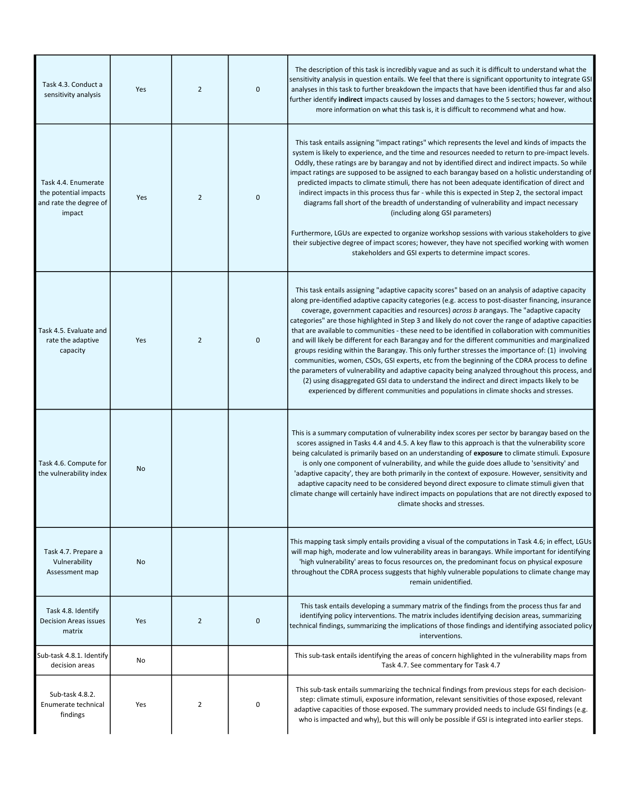| Task 4.3. Conduct a<br>sensitivity analysis                                      | Yes        | $\overline{2}$ | $\mathbf 0$ | The description of this task is incredibly vague and as such it is difficult to understand what the<br>sensitivity analysis in question entails. We feel that there is significant opportunity to integrate GSI<br>analyses in this task to further breakdown the impacts that have been identified thus far and also<br>further identify indirect impacts caused by losses and damages to the 5 sectors; however, without<br>more information on what this task is, it is difficult to recommend what and how.                                                                                                                                                                                                                                                                                                                                                                                                                                                                                                                                                                                                       |
|----------------------------------------------------------------------------------|------------|----------------|-------------|-----------------------------------------------------------------------------------------------------------------------------------------------------------------------------------------------------------------------------------------------------------------------------------------------------------------------------------------------------------------------------------------------------------------------------------------------------------------------------------------------------------------------------------------------------------------------------------------------------------------------------------------------------------------------------------------------------------------------------------------------------------------------------------------------------------------------------------------------------------------------------------------------------------------------------------------------------------------------------------------------------------------------------------------------------------------------------------------------------------------------|
| Task 4.4. Enumerate<br>the potential impacts<br>and rate the degree of<br>impact | <b>Yes</b> | $\overline{2}$ | $\mathbf 0$ | This task entails assigning "impact ratings" which represents the level and kinds of impacts the<br>system is likely to experience, and the time and resources needed to return to pre-impact levels.<br>Oddly, these ratings are by barangay and not by identified direct and indirect impacts. So while<br>impact ratings are supposed to be assigned to each barangay based on a holistic understanding of<br>predicted impacts to climate stimuli, there has not been adequate identification of direct and<br>indirect impacts in this process thus far - while this is expected in Step 2, the sectoral impact<br>diagrams fall short of the breadth of understanding of vulnerability and impact necessary<br>(including along GSI parameters)<br>Furthermore, LGUs are expected to organize workshop sessions with various stakeholders to give<br>their subjective degree of impact scores; however, they have not specified working with women<br>stakeholders and GSI experts to determine impact scores.                                                                                                  |
| Task 4.5. Evaluate and<br>rate the adaptive<br>capacity                          | Yes        | $\overline{2}$ | $\mathbf 0$ | This task entails assigning "adaptive capacity scores" based on an analysis of adaptive capacity<br>along pre-identified adaptive capacity categories (e.g. access to post-disaster financing, insurance<br>coverage, government capacities and resources) across b arangays. The "adaptive capacity<br>categories" are those highlighted in Step 3 and likely do not cover the range of adaptive capacities<br>that are available to communities - these need to be identified in collaboration with communities<br>and will likely be different for each Barangay and for the different communities and marginalized<br>groups residing within the Barangay. This only further stresses the importance of: (1) involving<br>communities, women, CSOs, GSI experts, etc from the beginning of the CDRA process to define<br>the parameters of vulnerability and adaptive capacity being analyzed throughout this process, and<br>(2) using disaggregated GSI data to understand the indirect and direct impacts likely to be<br>experienced by different communities and populations in climate shocks and stresses. |
| Task 4.6. Compute for<br>the vulnerability index                                 | No         |                |             | This is a summary computation of vulnerability index scores per sector by barangay based on the<br>scores assigned in Tasks 4.4 and 4.5. A key flaw to this approach is that the vulnerability score<br>being calculated is primarily based on an understanding of exposure to climate stimuli. Exposure<br>is only one component of vulnerability, and while the guide does allude to 'sensitivity' and<br>'adaptive capacity', they are both primarily in the context of exposure. However, sensitivity and<br>adaptive capacity need to be considered beyond direct exposure to climate stimuli given that<br>climate change will certainly have indirect impacts on populations that are not directly exposed to<br>climate shocks and stresses.                                                                                                                                                                                                                                                                                                                                                                  |
| Task 4.7. Prepare a<br>Vulnerability<br>Assessment map                           | No         |                |             | This mapping task simply entails providing a visual of the computations in Task 4.6; in effect, LGUs<br>will map high, moderate and low vulnerability areas in barangays. While important for identifying<br>'high vulnerability' areas to focus resources on, the predominant focus on physical exposure<br>throughout the CDRA process suggests that highly vulnerable populations to climate change may<br>remain unidentified.                                                                                                                                                                                                                                                                                                                                                                                                                                                                                                                                                                                                                                                                                    |
| Task 4.8. Identify<br><b>Decision Areas issues</b><br>matrix                     | Yes        | $\overline{2}$ | $\mathbf 0$ | This task entails developing a summary matrix of the findings from the process thus far and<br>identifying policy interventions. The matrix includes identifying decision areas, summarizing<br>technical findings, summarizing the implications of those findings and identifying associated policy<br>interventions.                                                                                                                                                                                                                                                                                                                                                                                                                                                                                                                                                                                                                                                                                                                                                                                                |
| Sub-task 4.8.1. Identify<br>decision areas                                       | No         |                |             | This sub-task entails identifying the areas of concern highlighted in the vulnerability maps from<br>Task 4.7. See commentary for Task 4.7                                                                                                                                                                                                                                                                                                                                                                                                                                                                                                                                                                                                                                                                                                                                                                                                                                                                                                                                                                            |
| Sub-task 4.8.2.<br>Enumerate technical<br>findings                               | Yes        | 2              | 0           | This sub-task entails summarizing the technical findings from previous steps for each decision-<br>step: climate stimuli, exposure information, relevant sensitivities of those exposed, relevant<br>adaptive capacities of those exposed. The summary provided needs to include GSI findings (e.g.<br>who is impacted and why), but this will only be possible if GSI is integrated into earlier steps.                                                                                                                                                                                                                                                                                                                                                                                                                                                                                                                                                                                                                                                                                                              |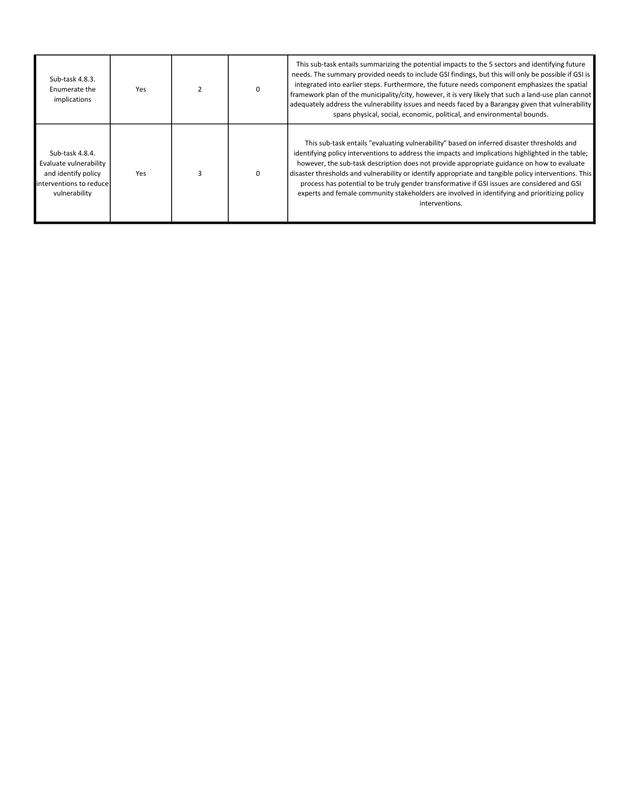| Sub-task 4.8.3.<br>Enumerate the<br>implications                                                              | Yes |  | This sub-task entails summarizing the potential impacts to the 5 sectors and identifying future<br>needs. The summary provided needs to include GSI findings, but this will only be possible if GSI is<br>integrated into earlier steps. Furthermore, the future needs component emphasizes the spatial<br>framework plan of the municipality/city, however, it is very likely that such a land-use plan cannot<br>adequately address the vulnerability issues and needs faced by a Barangay given that vulnerability<br>spans physical, social, economic, political, and environmental bounds.                            |
|---------------------------------------------------------------------------------------------------------------|-----|--|----------------------------------------------------------------------------------------------------------------------------------------------------------------------------------------------------------------------------------------------------------------------------------------------------------------------------------------------------------------------------------------------------------------------------------------------------------------------------------------------------------------------------------------------------------------------------------------------------------------------------|
| Sub-task 4.8.4.<br>Evaluate vulnerability<br>and identify policy<br>linterventions to reduce<br>vulnerability | Yes |  | This sub-task entails "evaluating vulnerability" based on inferred disaster thresholds and<br>identifying policy interventions to address the impacts and implications highlighted in the table;<br>however, the sub-task description does not provide appropriate guidance on how to evaluate<br>disaster thresholds and vulnerability or identify appropriate and tangible policy interventions. This<br>process has potential to be truly gender transformative if GSI issues are considered and GSI<br>experts and female community stakeholders are involved in identifying and prioritizing policy<br>interventions. |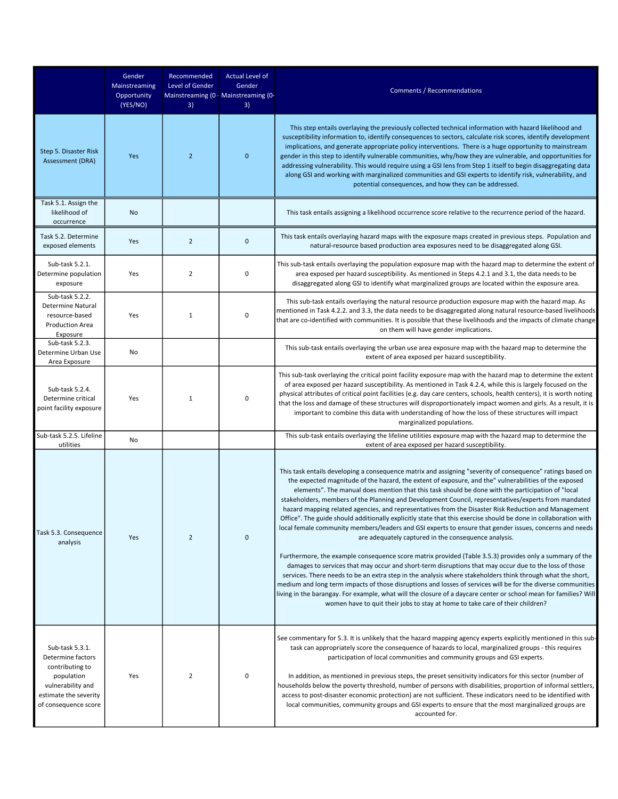|                                                                                                                                             | Gender<br>Mainstreaming<br>Opportunity<br>(YES/NO) | Recommended<br>Level of Gender<br>3) | <b>Actual Level of</b><br>Gender<br>Mainstreaming (0 - Mainstreaming (0-<br>3) | Comments / Recommendations                                                                                                                                                                                                                                                                                                                                                                                                                                                                                                                                                                                                                                                                                                                                                                                                                                                                                                                                                                                                                                                                                                                                                                                                                                                       |
|---------------------------------------------------------------------------------------------------------------------------------------------|----------------------------------------------------|--------------------------------------|--------------------------------------------------------------------------------|----------------------------------------------------------------------------------------------------------------------------------------------------------------------------------------------------------------------------------------------------------------------------------------------------------------------------------------------------------------------------------------------------------------------------------------------------------------------------------------------------------------------------------------------------------------------------------------------------------------------------------------------------------------------------------------------------------------------------------------------------------------------------------------------------------------------------------------------------------------------------------------------------------------------------------------------------------------------------------------------------------------------------------------------------------------------------------------------------------------------------------------------------------------------------------------------------------------------------------------------------------------------------------|
| Step 5. Disaster Risk<br>Assessment (DRA)                                                                                                   | Yes                                                | $\overline{2}$                       | $\mathbf 0$                                                                    | This step entails overlaying the previously collected technical information with hazard likelihood and<br>susceptibility information to, identify consequences to sectors, calculate risk scores, identify development<br>implications, and generate appropriate policy interventions. There is a huge opportunity to mainstream<br>gender in this step to identify vulnerable communities, why/how they are vulnerable, and opportunities for<br>addressing vulnerability. This would require using a GSI lens from Step 1 itself to begin disaggregating data<br>along GSI and working with marginalized communities and GSI experts to identify risk, vulnerability, and<br>potential consequences, and how they can be addressed.                                                                                                                                                                                                                                                                                                                                                                                                                                                                                                                                            |
| Task 5.1. Assign the<br>likelihood of<br>occurrence                                                                                         | No                                                 |                                      |                                                                                | This task entails assigning a likelihood occurrence score relative to the recurrence period of the hazard.                                                                                                                                                                                                                                                                                                                                                                                                                                                                                                                                                                                                                                                                                                                                                                                                                                                                                                                                                                                                                                                                                                                                                                       |
| Task 5.2. Determine<br>exposed elements                                                                                                     | Yes                                                | $\overline{2}$                       | $\mathbf 0$                                                                    | This task entails overlaying hazard maps with the exposure maps created in previous steps. Population and<br>natural-resource based production area exposures need to be disaggregated along GSI.                                                                                                                                                                                                                                                                                                                                                                                                                                                                                                                                                                                                                                                                                                                                                                                                                                                                                                                                                                                                                                                                                |
| Sub-task 5.2.1.<br>Determine population<br>exposure                                                                                         | Yes                                                | 2                                    | $\pmb{0}$                                                                      | This sub-task entails overlaying the population exposure map with the hazard map to determine the extent of<br>area exposed per hazard susceptibility. As mentioned in Steps 4.2.1 and 3.1, the data needs to be<br>disaggregated along GSI to identify what marginalized groups are located within the exposure area.                                                                                                                                                                                                                                                                                                                                                                                                                                                                                                                                                                                                                                                                                                                                                                                                                                                                                                                                                           |
| Sub-task 5.2.2.<br>Determine Natural<br>resource-based<br><b>Production Area</b><br>Exposure                                                | Yes                                                | $\mathbf{1}$                         | $\pmb{0}$                                                                      | This sub-task entails overlaying the natural resource production exposure map with the hazard map. As<br>mentioned in Task 4.2.2. and 3.3, the data needs to be disaggregated along natural resource-based livelihoods<br>that are co-identified with communities. It is possible that these livelihoods and the impacts of climate change<br>on them will have gender implications.                                                                                                                                                                                                                                                                                                                                                                                                                                                                                                                                                                                                                                                                                                                                                                                                                                                                                             |
| Sub-task 5.2.3.<br>Determine Urban Use<br>Area Exposure                                                                                     | No                                                 |                                      |                                                                                | This sub-task entails overlaying the urban use area exposure map with the hazard map to determine the<br>extent of area exposed per hazard susceptibility.                                                                                                                                                                                                                                                                                                                                                                                                                                                                                                                                                                                                                                                                                                                                                                                                                                                                                                                                                                                                                                                                                                                       |
| Sub-task 5.2.4.<br>Determine critical<br>point facility exposure                                                                            | Yes                                                | $\mathbf{1}$                         | 0                                                                              | This sub-task overlaying the critical point facility exposure map with the hazard map to determine the extent<br>of area exposed per hazard susceptibility. As mentioned in Task 4.2.4, while this is largely focused on the<br>physical attributes of critical point facilities (e.g. day care centers, schools, health centers), it is worth noting<br>that the loss and damage of these structures will disproportionately impact women and girls. As a result, it is<br>important to combine this data with understanding of how the loss of these structures will impact<br>marginalized populations.                                                                                                                                                                                                                                                                                                                                                                                                                                                                                                                                                                                                                                                                       |
| Sub-task 5.2.5. Lifeline<br>utilities                                                                                                       | No                                                 |                                      |                                                                                | This sub-task entails overlaying the lifeline utilities exposure map with the hazard map to determine the<br>extent of area exposed per hazard susceptibility.                                                                                                                                                                                                                                                                                                                                                                                                                                                                                                                                                                                                                                                                                                                                                                                                                                                                                                                                                                                                                                                                                                                   |
| Task 5.3. Consequence<br>analysis                                                                                                           | Yes                                                | $\overline{2}$                       | $\mathbf 0$                                                                    | This task entails developing a consequence matrix and assigning "severity of consequence" ratings based on<br>the expected magnitude of the hazard, the extent of exposure, and the" vulnerabilities of the exposed<br>elements". The manual does mention that this task should be done with the participation of "local<br>stakeholders, members of the Planning and Development Council, representatives/experts from mandated<br>hazard mapping related agencies, and representatives from the Disaster Risk Reduction and Management<br>Office". The guide should additionally explicitly state that this exercise should be done in collaboration with<br>local female community members/leaders and GSI experts to ensure that gender issues, concerns and needs<br>are adequately captured in the consequence analysis.<br>Furthermore, the example consequence score matrix provided (Table 3.5.3) provides only a summary of the<br>damages to services that may occur and short-term disruptions that may occur due to the loss of those<br>services. There needs to be an extra step in the analysis where stakeholders think through what the short,<br>medium and long term impacts of those disruptions and losses of services will be for the diverse communities |
|                                                                                                                                             |                                                    |                                      |                                                                                | living in the barangay. For example, what will the closure of a daycare center or school mean for families? Will<br>women have to quit their jobs to stay at home to take care of their children?                                                                                                                                                                                                                                                                                                                                                                                                                                                                                                                                                                                                                                                                                                                                                                                                                                                                                                                                                                                                                                                                                |
| Sub-task 5.3.1.<br>Determine factors<br>contributing to<br>population<br>vulnerability and<br>estimate the severity<br>of consequence score | Yes                                                | 2                                    | 0                                                                              | See commentary for 5.3. It is unlikely that the hazard mapping agency experts explicitly mentioned in this sub-<br>task can appropriately score the consequence of hazards to local, marginalized groups - this requires<br>participation of local communities and community groups and GSI experts.<br>In addition, as mentioned in previous steps, the preset sensitivity indicators for this sector (number of<br>households below the poverty threshold, number of persons with disabilities, proportion of informal settlers,<br>access to post-disaster economic protection) are not sufficient. These indicators need to be identified with<br>local communities, community groups and GSI experts to ensure that the most marginalized groups are<br>accounted for.                                                                                                                                                                                                                                                                                                                                                                                                                                                                                                      |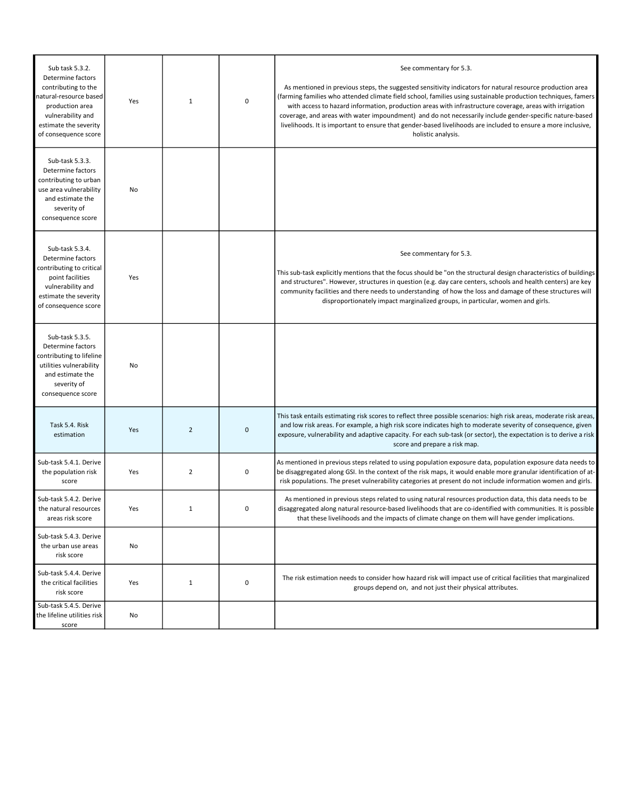| Sub task 5.3.2.<br>Determine factors<br>contributing to the<br>natural-resource based<br>production area<br>vulnerability and<br>estimate the severity<br>of consequence score | Yes | $\mathbf{1}$   | 0 | See commentary for 5.3.<br>As mentioned in previous steps, the suggested sensitivity indicators for natural resource production area<br>(farming families who attended climate field school, families using sustainable production techniques, famers<br>with access to hazard information, production areas with infrastructure coverage, areas with irrigation<br>coverage, and areas with water impoundment) and do not necessarily include gender-specific nature-based<br>livelihoods. It is important to ensure that gender-based livelihoods are included to ensure a more inclusive,<br>holistic analysis. |
|--------------------------------------------------------------------------------------------------------------------------------------------------------------------------------|-----|----------------|---|--------------------------------------------------------------------------------------------------------------------------------------------------------------------------------------------------------------------------------------------------------------------------------------------------------------------------------------------------------------------------------------------------------------------------------------------------------------------------------------------------------------------------------------------------------------------------------------------------------------------|
| Sub-task 5.3.3.<br>Determine factors<br>contributing to urban<br>use area vulnerability<br>and estimate the<br>severity of<br>consequence score                                | No  |                |   |                                                                                                                                                                                                                                                                                                                                                                                                                                                                                                                                                                                                                    |
| Sub-task 5.3.4.<br>Determine factors<br>contributing to critical<br>point facilities<br>vulnerability and<br>estimate the severity<br>of consequence score                     | Yes |                |   | See commentary for 5.3.<br>This sub-task explicitly mentions that the focus should be "on the structural design characteristics of buildings<br>and structures". However, structures in question (e.g. day care centers, schools and health centers) are key<br>community facilities and there needs to understanding of how the loss and damage of these structures will<br>disproportionately impact marginalized groups, in particular, women and girls.                                                                                                                                                        |
| Sub-task 5.3.5.<br>Determine factors<br>contributing to lifeline<br>utilities vulnerability<br>and estimate the<br>severity of<br>consequence score                            | No  |                |   |                                                                                                                                                                                                                                                                                                                                                                                                                                                                                                                                                                                                                    |
| Task 5.4. Risk<br>estimation                                                                                                                                                   | Yes | $\overline{2}$ | 0 | This task entails estimating risk scores to reflect three possible scenarios: high risk areas, moderate risk areas,<br>and low risk areas. For example, a high risk score indicates high to moderate severity of consequence, given<br>exposure, vulnerability and adaptive capacity. For each sub-task (or sector), the expectation is to derive a risk<br>score and prepare a risk map.                                                                                                                                                                                                                          |
| Sub-task 5.4.1. Derive<br>the population risk<br>score                                                                                                                         | Yes | $\overline{2}$ | 0 | As mentioned in previous steps related to using population exposure data, population exposure data needs to<br>be disaggregated along GSI. In the context of the risk maps, it would enable more granular identification of at-<br>risk populations. The preset vulnerability categories at present do not include information women and girls.                                                                                                                                                                                                                                                                    |
| Sub-task 5.4.2. Derive<br>the natural resources<br>areas risk score                                                                                                            | Yes |                | 0 | As mentioned in previous steps related to using natural resources production data, this data needs to be<br>disaggregated along natural resource-based livelihoods that are co-identified with communities. It is possible<br>that these livelihoods and the impacts of climate change on them will have gender implications.                                                                                                                                                                                                                                                                                      |
| Sub-task 5.4.3. Derive<br>the urban use areas<br>risk score                                                                                                                    | No  |                |   |                                                                                                                                                                                                                                                                                                                                                                                                                                                                                                                                                                                                                    |
| Sub-task 5.4.4. Derive<br>the critical facilities<br>risk score                                                                                                                | Yes | $\mathbf{1}$   | 0 | The risk estimation needs to consider how hazard risk will impact use of critical facilities that marginalized<br>groups depend on, and not just their physical attributes.                                                                                                                                                                                                                                                                                                                                                                                                                                        |
| Sub-task 5.4.5. Derive<br>the lifeline utilities risk<br>score                                                                                                                 | No  |                |   |                                                                                                                                                                                                                                                                                                                                                                                                                                                                                                                                                                                                                    |